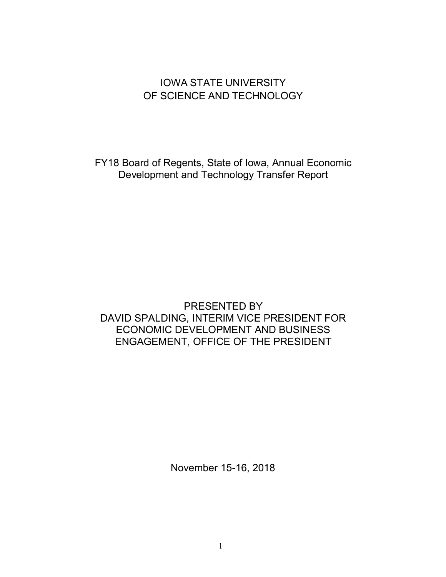# IOWA STATE UNIVERSITY OF SCIENCE AND TECHNOLOGY

FY18 Board of Regents, State of Iowa, Annual Economic Development and Technology Transfer Report

# PRESENTED BY DAVID SPALDING, INTERIM VICE PRESIDENT FOR ECONOMIC DEVELOPMENT AND BUSINESS ENGAGEMENT, OFFICE OF THE PRESIDENT

November 15-16, 2018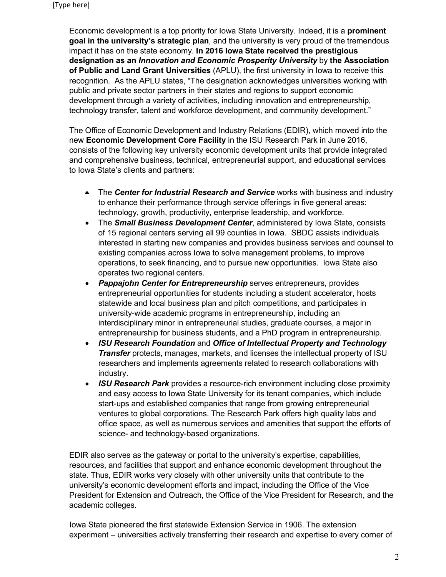Economic development is a top priority for Iowa State University. Indeed, it is a **prominent goal in the university's strategic plan**, and the university is very proud of the tremendous impact it has on the state economy. **In 2016 Iowa State received the prestigious designation as an** *Innovation and Economic Prosperity University* by **the Association of Public and Land Grant Universities** (APLU), the first university in Iowa to receive this recognition. As the APLU states, "The designation acknowledges universities working with public and private sector partners in their states and regions to support economic development through a variety of activities, including innovation and entrepreneurship, technology transfer, talent and workforce development, and community development."

The Office of Economic Development and Industry Relations (EDIR), which moved into the new **Economic Development Core Facility** in the ISU Research Park in June 2016, consists of the following key university economic development units that provide integrated and comprehensive business, technical, entrepreneurial support, and educational services to Iowa State's clients and partners:

- The *Center for Industrial Research and Service* works with business and industry to enhance their performance through service offerings in five general areas: technology, growth, productivity, enterprise leadership, and workforce.
- The *Small Business Development Center*, administered by Iowa State, consists of 15 regional centers serving all 99 counties in Iowa. SBDC assists individuals interested in starting new companies and provides business services and counsel to existing companies across Iowa to solve management problems, to improve operations, to seek financing, and to pursue new opportunities. Iowa State also operates two regional centers.
- *Pappajohn Center for Entrepreneurship* serves entrepreneurs, provides entrepreneurial opportunities for students including a student accelerator, hosts statewide and local business plan and pitch competitions, and participates in university-wide academic programs in entrepreneurship, including an interdisciplinary minor in entrepreneurial studies, graduate courses, a major in entrepreneurship for business students, and a PhD program in entrepreneurship.
- *ISU Research Foundation* and *Office of Intellectual Property and Technology Transfer* protects, manages, markets, and licenses the intellectual property of ISU researchers and implements agreements related to research collaborations with industry.
- *ISU Research Park* provides a resource-rich environment including close proximity and easy access to Iowa State University for its tenant companies, which include start-ups and established companies that range from growing entrepreneurial ventures to global corporations. The Research Park offers high quality labs and office space, as well as numerous services and amenities that support the efforts of science- and technology-based organizations.

EDIR also serves as the gateway or portal to the university's expertise, capabilities, resources, and facilities that support and enhance economic development throughout the state. Thus, EDIR works very closely with other university units that contribute to the university's economic development efforts and impact, including the Office of the Vice President for Extension and Outreach, the Office of the Vice President for Research, and the academic colleges.

Iowa State pioneered the first statewide Extension Service in 1906. The extension experiment – universities actively transferring their research and expertise to every corner of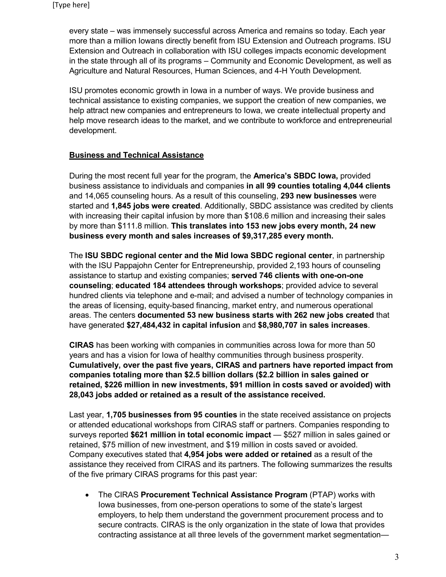every state – was immensely successful across America and remains so today. Each year more than a million Iowans directly benefit from ISU Extension and Outreach programs. ISU Extension and Outreach in collaboration with ISU colleges impacts economic development in the state through all of its programs – Community and Economic Development, as well as Agriculture and Natural Resources, Human Sciences, and 4-H Youth Development.

ISU promotes economic growth in Iowa in a number of ways. We provide business and technical assistance to existing companies, we support the creation of new companies, we help attract new companies and entrepreneurs to Iowa, we create intellectual property and help move research ideas to the market, and we contribute to workforce and entrepreneurial development.

## **Business and Technical Assistance**

During the most recent full year for the program, the **America's SBDC Iowa,** provided business assistance to individuals and companies **in all 99 counties totaling 4,044 clients** and 14,065 counseling hours. As a result of this counseling, **293 new businesses** were started and **1,845 jobs were created**. Additionally, SBDC assistance was credited by clients with increasing their capital infusion by more than \$108.6 million and increasing their sales by more than \$111.8 million. **This translates into 153 new jobs every month, 24 new business every month and sales increases of \$9,317,285 every month.**

The **ISU SBDC regional center and the Mid Iowa SBDC regional center**, in partnership with the ISU Pappajohn Center for Entrepreneurship, provided 2,193 hours of counseling assistance to startup and existing companies; **served 746 clients with one-on-one counseling**; **educated 184 attendees through workshops**; provided advice to several hundred clients via telephone and e-mail; and advised a number of technology companies in the areas of licensing, equity-based financing, market entry, and numerous operational areas. The centers **documented 53 new business starts with 262 new jobs created** that have generated **\$27,484,432 in capital infusion** and **\$8,980,707 in sales increases**.

**CIRAS** has been working with companies in communities across Iowa for more than 50 years and has a vision for Iowa of healthy communities through business prosperity. **Cumulatively, over the past five years, CIRAS and partners have reported impact from companies totaling more than \$2.5 billion dollars (\$2.2 billion in sales gained or retained, \$226 million in new investments, \$91 million in costs saved or avoided) with 28,043 jobs added or retained as a result of the assistance received.**

Last year, **1,705 businesses from 95 counties** in the state received assistance on projects or attended educational workshops from CIRAS staff or partners. Companies responding to surveys reported **\$621 million in total economic impact** — \$527 million in sales gained or retained, \$75 million of new investment, and \$19 million in costs saved or avoided. Company executives stated that **4,954 jobs were added or retained** as a result of the assistance they received from CIRAS and its partners. The following summarizes the results of the five primary CIRAS programs for this past year:

• The CIRAS **Procurement Technical Assistance Program** (PTAP) works with Iowa businesses, from one-person operations to some of the state's largest employers, to help them understand the government procurement process and to secure contracts. CIRAS is the only organization in the state of Iowa that provides contracting assistance at all three levels of the government market segmentation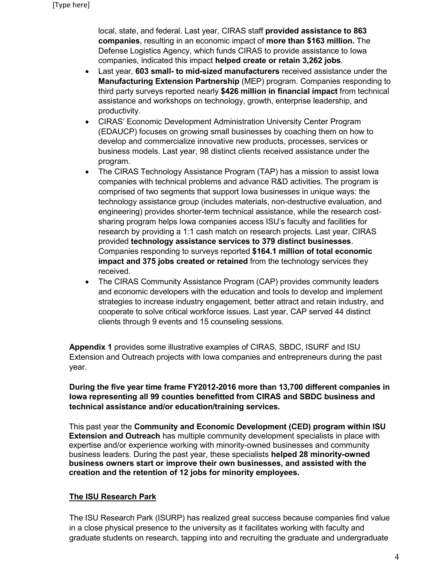local, state, and federal. Last year, CIRAS staff **provided assistance to 863 companies**, resulting in an economic impact of **more than \$163 million.** The Defense Logistics Agency, which funds CIRAS to provide assistance to Iowa companies, indicated this impact **helped create or retain 3,262 jobs**.

- Last year, **603 small- to mid-sized manufacturers** received assistance under the **Manufacturing Extension Partnership** (MEP) program. Companies responding to third party surveys reported nearly **\$426 million in financial impact** from technical assistance and workshops on technology, growth, enterprise leadership, and productivity.
- CIRAS' Economic Development Administration University Center Program (EDAUCP) focuses on growing small businesses by coaching them on how to develop and commercialize innovative new products, processes, services or business models. Last year, 98 distinct clients received assistance under the program.
- The CIRAS Technology Assistance Program (TAP) has a mission to assist Iowa companies with technical problems and advance R&D activities. The program is comprised of two segments that support Iowa businesses in unique ways: the technology assistance group (includes materials, non-destructive evaluation, and engineering) provides shorter-term technical assistance, while the research costsharing program helps Iowa companies access ISU's faculty and facilities for research by providing a 1:1 cash match on research projects. Last year, CIRAS provided **technology assistance services to 379 distinct businesses**. Companies responding to surveys reported **\$164.1 million of total economic impact and 375 jobs created or retained** from the technology services they received.
- The CIRAS Community Assistance Program (CAP) provides community leaders and economic developers with the education and tools to develop and implement strategies to increase industry engagement, better attract and retain industry, and cooperate to solve critical workforce issues. Last year, CAP served 44 distinct clients through 9 events and 15 counseling sessions.

**Appendix 1** provides some illustrative examples of CIRAS, SBDC, ISURF and ISU Extension and Outreach projects with Iowa companies and entrepreneurs during the past year.

**During the five year time frame FY2012-2016 more than 13,700 different companies in Iowa representing all 99 counties benefitted from CIRAS and SBDC business and technical assistance and/or education/training services.** 

This past year the **Community and Economic Development (CED) program within ISU Extension and Outreach** has multiple community development specialists in place with expertise and/or experience working with minority-owned businesses and community business leaders. During the past year, these specialists **helped 28 minority-owned business owners start or improve their own businesses, and assisted with the creation and the retention of 12 jobs for minority employees.**

## **The ISU Research Park**

The ISU Research Park (ISURP) has realized great success because companies find value in a close physical presence to the university as it facilitates working with faculty and graduate students on research, tapping into and recruiting the graduate and undergraduate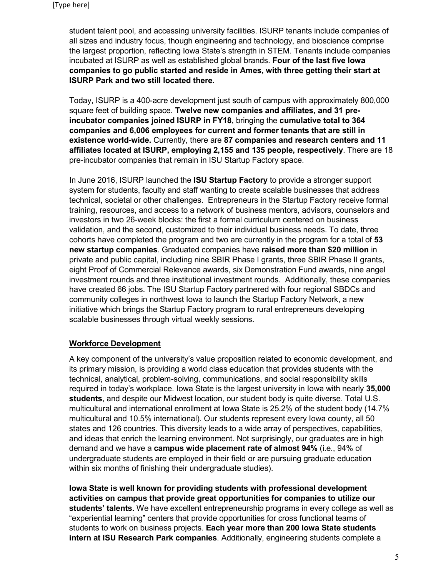student talent pool, and accessing university facilities. ISURP tenants include companies of all sizes and industry focus, though engineering and technology, and bioscience comprise the largest proportion, reflecting Iowa State's strength in STEM. Tenants include companies incubated at ISURP as well as established global brands. **Four of the last five Iowa companies to go public started and reside in Ames, with three getting their start at ISURP Park and two still located there.**

Today, ISURP is a 400-acre development just south of campus with approximately 800,000 square feet of building space. **Twelve new companies and affiliates, and 31 preincubator companies joined ISURP in FY18**, bringing the **cumulative total to 364 companies and 6,006 employees for current and former tenants that are still in existence world-wide.** Currently, there are **87 companies and research centers and 11 affiliates located at ISURP, employing 2,155 and 135 people, respectively**. There are 18 pre-incubator companies that remain in ISU Startup Factory space.

In June 2016, ISURP launched the **ISU Startup Factory** to provide a stronger support system for students, faculty and staff wanting to create scalable businesses that address technical, societal or other challenges. Entrepreneurs in the Startup Factory receive formal training, resources, and access to a network of business mentors, advisors, counselors and investors in two 26-week blocks: the first a formal curriculum centered on business validation, and the second, customized to their individual business needs. To date, three cohorts have completed the program and two are currently in the program for a total of **53 new startup companies**. Graduated companies have **raised more than \$20 million** in private and public capital, including nine SBIR Phase I grants, three SBIR Phase II grants, eight Proof of Commercial Relevance awards, six Demonstration Fund awards, nine angel investment rounds and three institutional investment rounds. Additionally, these companies have created 66 jobs. The ISU Startup Factory partnered with four regional SBDCs and community colleges in northwest Iowa to launch the Startup Factory Network, a new initiative which brings the Startup Factory program to rural entrepreneurs developing scalable businesses through virtual weekly sessions.

## **Workforce Development**

A key component of the university's value proposition related to economic development, and its primary mission, is providing a world class education that provides students with the technical, analytical, problem-solving, communications, and social responsibility skills required in today's workplace. Iowa State is the largest university in Iowa with nearly **35,000 students**, and despite our Midwest location, our student body is quite diverse. Total U.S. multicultural and international enrollment at Iowa State is 25.2% of the student body (14.7% multicultural and 10.5% international). Our students represent every Iowa county, all 50 states and 126 countries. This diversity leads to a wide array of perspectives, capabilities, and ideas that enrich the learning environment. Not surprisingly, our graduates are in high demand and we have a **campus wide placement rate of almost 94%** (i.e., 94% of undergraduate students are employed in their field or are pursuing graduate education within six months of finishing their undergraduate studies).

**Iowa State is well known for providing students with professional development activities on campus that provide great opportunities for companies to utilize our students' talents.** We have excellent entrepreneurship programs in every college as well as "experiential learning" centers that provide opportunities for cross functional teams of students to work on business projects. **Each year more than 200 Iowa State students intern at ISU Research Park companies**. Additionally, engineering students complete a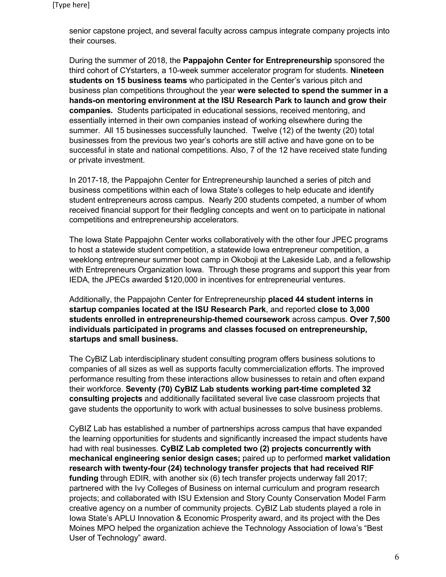senior capstone project, and several faculty across campus integrate company projects into their courses.

During the summer of 2018, the **Pappajohn Center for Entrepreneurship** sponsored the third cohort of CYstarters, a 10-week summer accelerator program for students. **Nineteen students on 15 business teams** who participated in the Center's various pitch and business plan competitions throughout the year **were selected to spend the summer in a hands-on mentoring environment at the ISU Research Park to launch and grow their companies.** Students participated in educational sessions, received mentoring, and essentially interned in their own companies instead of working elsewhere during the summer. All 15 businesses successfully launched. Twelve (12) of the twenty (20) total businesses from the previous two year's cohorts are still active and have gone on to be successful in state and national competitions. Also, 7 of the 12 have received state funding or private investment.

In 2017-18, the Pappajohn Center for Entrepreneurship launched a series of pitch and business competitions within each of Iowa State's colleges to help educate and identify student entrepreneurs across campus. Nearly 200 students competed, a number of whom received financial support for their fledgling concepts and went on to participate in national competitions and entrepreneurship accelerators.

The Iowa State Pappajohn Center works collaboratively with the other four JPEC programs to host a statewide student competition, a statewide Iowa entrepreneur competition, a weeklong entrepreneur summer boot camp in Okoboji at the Lakeside Lab, and a fellowship with Entrepreneurs Organization Iowa. Through these programs and support this year from IEDA, the JPECs awarded \$120,000 in incentives for entrepreneurial ventures.

Additionally, the Pappajohn Center for Entrepreneurship **placed 44 student interns in startup companies located at the ISU Research Park**, and reported **close to 3,000 students enrolled in entrepreneurship-themed coursework** across campus. **Over 7,500 individuals participated in programs and classes focused on entrepreneurship, startups and small business.** 

The CyBIZ Lab interdisciplinary student consulting program offers business solutions to companies of all sizes as well as supports faculty commercialization efforts. The improved performance resulting from these interactions allow businesses to retain and often expand their workforce. **Seventy (70) CyBIZ Lab students working part-time completed 32 consulting projects** and additionally facilitated several live case classroom projects that gave students the opportunity to work with actual businesses to solve business problems.

CyBIZ Lab has established a number of partnerships across campus that have expanded the learning opportunities for students and significantly increased the impact students have had with real businesses. **CyBIZ Lab completed two (2) projects concurrently with mechanical engineering senior design cases;** paired up to performed **market validation research with twenty-four (24) technology transfer projects that had received RIF funding** through EDIR, with another six (6) tech transfer projects underway fall 2017; partnered with the Ivy Colleges of Business on internal curriculum and program research projects; and collaborated with ISU Extension and Story County Conservation Model Farm creative agency on a number of community projects. CyBIZ Lab students played a role in Iowa State's APLU Innovation & Economic Prosperity award, and its project with the Des Moines MPO helped the organization achieve the Technology Association of Iowa's "Best User of Technology" award.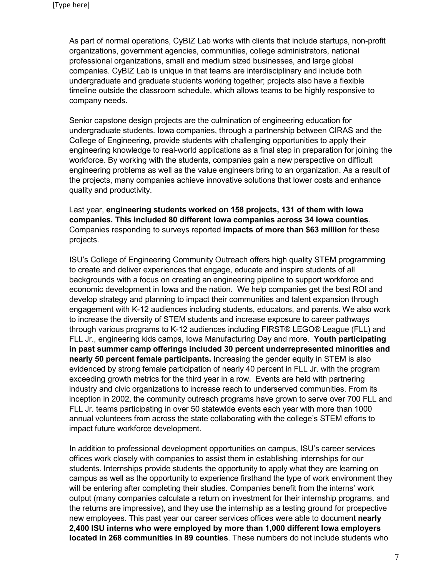As part of normal operations, CyBIZ Lab works with clients that include startups, non-profit organizations, government agencies, communities, college administrators, national professional organizations, small and medium sized businesses, and large global companies. CyBIZ Lab is unique in that teams are interdisciplinary and include both undergraduate and graduate students working together; projects also have a flexible timeline outside the classroom schedule, which allows teams to be highly responsive to company needs.

Senior capstone design projects are the culmination of engineering education for undergraduate students. Iowa companies, through a partnership between CIRAS and the College of Engineering, provide students with challenging opportunities to apply their engineering knowledge to real-world applications as a final step in preparation for joining the workforce. By working with the students, companies gain a new perspective on difficult engineering problems as well as the value engineers bring to an organization. As a result of the projects, many companies achieve innovative solutions that lower costs and enhance quality and productivity.

Last year, **engineering students worked on 158 projects, 131 of them with Iowa companies. This included 80 different Iowa companies across 34 Iowa counties**. Companies responding to surveys reported **impacts of more than \$63 million** for these projects.

ISU's College of Engineering Community Outreach offers high quality STEM programming to create and deliver experiences that engage, educate and inspire students of all backgrounds with a focus on creating an engineering pipeline to support workforce and economic development in Iowa and the nation. We help companies get the best ROI and develop strategy and planning to impact their communities and talent expansion through engagement with K-12 audiences including students, educators, and parents. We also work to increase the diversity of STEM students and increase exposure to career pathways through various programs to K-12 audiences including FIRST® LEGO® League (FLL) and FLL Jr., engineering kids camps, Iowa Manufacturing Day and more. **Youth participating in past summer camp offerings included 30 percent underrepresented minorities and nearly 50 percent female participants.** Increasing the gender equity in STEM is also evidenced by strong female participation of nearly 40 percent in FLL Jr. with the program exceeding growth metrics for the third year in a row. Events are held with partnering industry and civic organizations to increase reach to underserved communities. From its inception in 2002, the community outreach programs have grown to serve over 700 FLL and FLL Jr. teams participating in over 50 statewide events each year with more than 1000 annual volunteers from across the state collaborating with the college's STEM efforts to impact future workforce development.

In addition to professional development opportunities on campus, ISU's career services offices work closely with companies to assist them in establishing internships for our students. Internships provide students the opportunity to apply what they are learning on campus as well as the opportunity to experience firsthand the type of work environment they will be entering after completing their studies. Companies benefit from the interns' work output (many companies calculate a return on investment for their internship programs, and the returns are impressive), and they use the internship as a testing ground for prospective new employees. This past year our career services offices were able to document **nearly 2,400 ISU interns who were employed by more than 1,000 different Iowa employers located in 268 communities in 89 counties**. These numbers do not include students who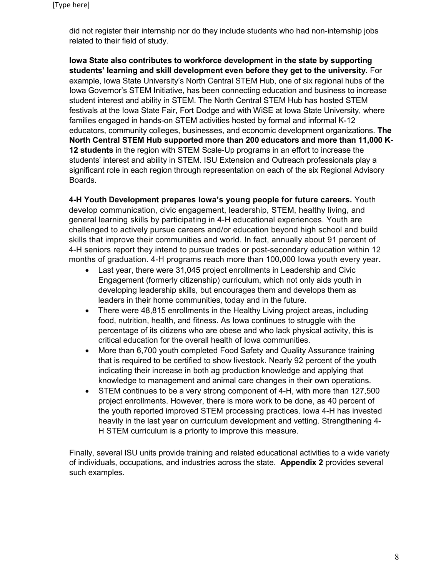did not register their internship nor do they include students who had non-internship jobs related to their field of study.

**Iowa State also contributes to workforce development in the state by supporting students' learning and skill development even before they get to the university.** For example, Iowa State University's North Central STEM Hub, one of six regional hubs of the Iowa Governor's STEM Initiative, has been connecting education and business to increase student interest and ability in STEM. The North Central STEM Hub has hosted STEM festivals at the Iowa State Fair, Fort Dodge and with WiSE at Iowa State University, where families engaged in hands-on STEM activities hosted by formal and informal K-12 educators, community colleges, businesses, and economic development organizations. **The North Central STEM Hub supported more than 200 educators and more than 11,000 K-12 students** in the region with STEM Scale-Up programs in an effort to increase the students' interest and ability in STEM. ISU Extension and Outreach professionals play a significant role in each region through representation on each of the six Regional Advisory Boards.

**4-H Youth Development prepares Iowa's young people for future careers.** Youth develop communication, civic engagement, leadership, STEM, healthy living, and general learning skills by participating in 4-H educational experiences. Youth are challenged to actively pursue careers and/or education beyond high school and build skills that improve their communities and world. In fact, annually about 91 percent of 4-H seniors report they intend to pursue trades or post-secondary education within 12 months of graduation. 4-H programs reach more than 100,000 Iowa youth every year**.**

- Last year, there were 31,045 project enrollments in Leadership and Civic Engagement (formerly citizenship) curriculum, which not only aids youth in developing leadership skills, but encourages them and develops them as leaders in their home communities, today and in the future.
- There were 48,815 enrollments in the Healthy Living project areas, including food, nutrition, health, and fitness. As Iowa continues to struggle with the percentage of its citizens who are obese and who lack physical activity, this is critical education for the overall health of Iowa communities.
- More than 6,700 youth completed Food Safety and Quality Assurance training that is required to be certified to show livestock. Nearly 92 percent of the youth indicating their increase in both ag production knowledge and applying that knowledge to management and animal care changes in their own operations.
- STEM continues to be a very strong component of 4-H, with more than 127,500 project enrollments. However, there is more work to be done, as 40 percent of the youth reported improved STEM processing practices. Iowa 4-H has invested heavily in the last year on curriculum development and vetting. Strengthening 4- H STEM curriculum is a priority to improve this measure.

Finally, several ISU units provide training and related educational activities to a wide variety of individuals, occupations, and industries across the state. **Appendix 2** provides several such examples.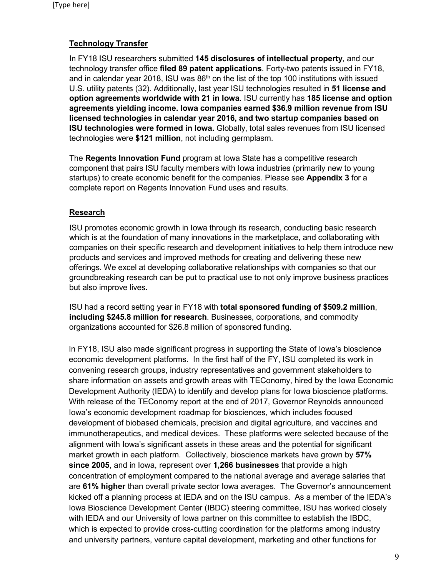## **Technology Transfer**

In FY18 ISU researchers submitted **145 disclosures of intellectual property**, and our technology transfer office **filed 89 patent applications**. Forty-two patents issued in FY18, and in calendar year 2018, ISU was  $86<sup>th</sup>$  on the list of the top 100 institutions with issued U.S. utility patents (32). Additionally, last year ISU technologies resulted in **51 license and option agreements worldwide with 21 in Iowa**. ISU currently has **185 license and option agreements yielding income. Iowa companies earned \$36.9 million revenue from ISU licensed technologies in calendar year 2016, and two startup companies based on ISU technologies were formed in Iowa.** Globally, total sales revenues from ISU licensed technologies were **\$121 million**, not including germplasm.

The **Regents Innovation Fund** program at Iowa State has a competitive research component that pairs ISU faculty members with Iowa industries (primarily new to young startups) to create economic benefit for the companies. Please see **Appendix 3** for a complete report on Regents Innovation Fund uses and results.

## **Research**

ISU promotes economic growth in Iowa through its research, conducting basic research which is at the foundation of many innovations in the marketplace, and collaborating with companies on their specific research and development initiatives to help them introduce new products and services and improved methods for creating and delivering these new offerings. We excel at developing collaborative relationships with companies so that our groundbreaking research can be put to practical use to not only improve business practices but also improve lives.

ISU had a record setting year in FY18 with **total sponsored funding of \$509.2 million**, **including \$245.8 million for research**. Businesses, corporations, and commodity organizations accounted for \$26.8 million of sponsored funding.

In FY18, ISU also made significant progress in supporting the State of Iowa's bioscience economic development platforms. In the first half of the FY, ISU completed its work in convening research groups, industry representatives and government stakeholders to share information on assets and growth areas with TEConomy, hired by the Iowa Economic Development Authority (IEDA) to identify and develop plans for Iowa bioscience platforms. With release of the TEConomy report at the end of 2017, Governor Reynolds announced Iowa's economic development roadmap for biosciences, which includes focused development of biobased chemicals, precision and digital agriculture, and vaccines and immunotherapeutics, and medical devices. These platforms were selected because of the alignment with Iowa's significant assets in these areas and the potential for significant market growth in each platform. Collectively, bioscience markets have grown by **57% since 2005**, and in Iowa, represent over **1,266 businesses** that provide a high concentration of employment compared to the national average and average salaries that are **61% higher** than overall private sector Iowa averages. The Governor's announcement kicked off a planning process at IEDA and on the ISU campus. As a member of the IEDA's Iowa Bioscience Development Center (IBDC) steering committee, ISU has worked closely with IEDA and our University of Iowa partner on this committee to establish the IBDC, which is expected to provide cross-cutting coordination for the platforms among industry and university partners, venture capital development, marketing and other functions for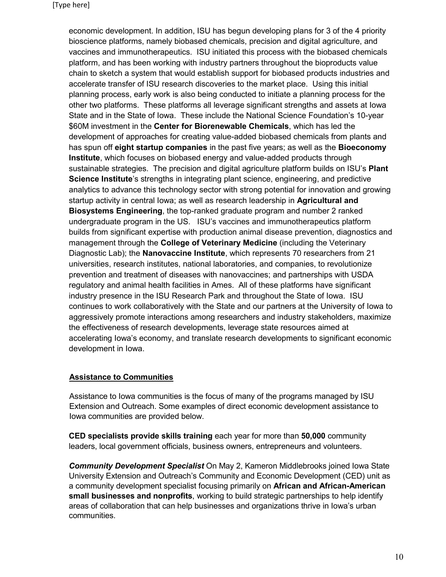economic development. In addition, ISU has begun developing plans for 3 of the 4 priority bioscience platforms, namely biobased chemicals, precision and digital agriculture, and vaccines and immunotherapeutics. ISU initiated this process with the biobased chemicals platform, and has been working with industry partners throughout the bioproducts value chain to sketch a system that would establish support for biobased products industries and accelerate transfer of ISU research discoveries to the market place. Using this initial planning process, early work is also being conducted to initiate a planning process for the other two platforms. These platforms all leverage significant strengths and assets at Iowa State and in the State of Iowa. These include the National Science Foundation's 10-year \$60M investment in the **Center for Biorenewable Chemicals**, which has led the development of approaches for creating value-added biobased chemicals from plants and has spun off **eight startup companies** in the past five years; as well as the **Bioeconomy Institute**, which focuses on biobased energy and value-added products through sustainable strategies. The precision and digital agriculture platform builds on ISU's **Plant Science Institute**'s strengths in integrating plant science, engineering, and predictive analytics to advance this technology sector with strong potential for innovation and growing startup activity in central Iowa; as well as research leadership in **Agricultural and Biosystems Engineering**, the top-ranked graduate program and number 2 ranked undergraduate program in the US. ISU's vaccines and immunotherapeutics platform builds from significant expertise with production animal disease prevention, diagnostics and management through the **College of Veterinary Medicine** (including the Veterinary Diagnostic Lab); the **Nanovaccine Institute**, which represents 70 researchers from 21 universities, research institutes, national laboratories, and companies, to revolutionize prevention and treatment of diseases with nanovaccines; and partnerships with USDA regulatory and animal health facilities in Ames. All of these platforms have significant industry presence in the ISU Research Park and throughout the State of Iowa. ISU continues to work collaboratively with the State and our partners at the University of Iowa to aggressively promote interactions among researchers and industry stakeholders, maximize the effectiveness of research developments, leverage state resources aimed at accelerating Iowa's economy, and translate research developments to significant economic development in Iowa.

## **Assistance to Communities**

Assistance to Iowa communities is the focus of many of the programs managed by ISU Extension and Outreach. Some examples of direct economic development assistance to Iowa communities are provided below.

**CED specialists provide skills training** each year for more than **50,000** community leaders, local government officials, business owners, entrepreneurs and volunteers.

*Community Development Specialist* On May 2, Kameron Middlebrooks joined Iowa State University Extension and Outreach's Community and Economic Development (CED) unit as a community development specialist focusing primarily on **African and African-American small businesses and nonprofits**, working to build strategic partnerships to help identify areas of collaboration that can help businesses and organizations thrive in Iowa's urban communities.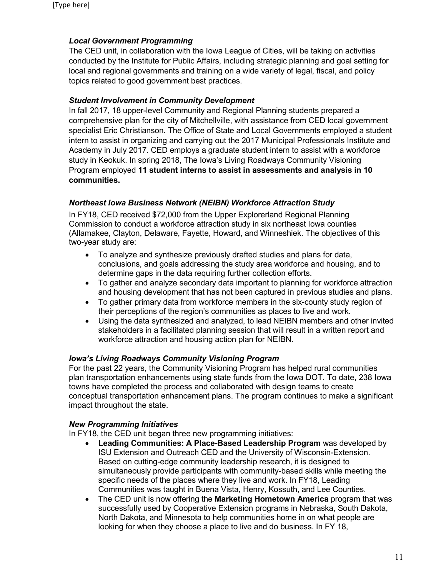## *Local Government Programming*

The CED unit, in collaboration with the Iowa League of Cities, will be taking on activities conducted by the Institute for Public Affairs, including strategic planning and goal setting for local and regional governments and training on a wide variety of legal, fiscal, and policy topics related to good government best practices.

## *Student Involvement in Community Development*

In fall 2017, 18 upper-level Community and Regional Planning students prepared a comprehensive plan for the city of Mitchellville, with assistance from CED local government specialist Eric Christianson. The Office of State and Local Governments employed a student intern to assist in organizing and carrying out the 2017 Municipal Professionals Institute and Academy in July 2017. CED employs a graduate student intern to assist with a workforce study in Keokuk. In spring 2018, The Iowa's Living Roadways Community Visioning Program employed **11 student interns to assist in assessments and analysis in 10 communities.**

## *Northeast Iowa Business Network (NEIBN) Workforce Attraction Study*

In FY18, CED received \$72,000 from the Upper Explorerland Regional Planning Commission to conduct a workforce attraction study in six northeast Iowa counties (Allamakee, Clayton, Delaware, Fayette, Howard, and Winneshiek. The objectives of this two-year study are:

- To analyze and synthesize previously drafted studies and plans for data, conclusions, and goals addressing the study area workforce and housing, and to determine gaps in the data requiring further collection efforts.
- To gather and analyze secondary data important to planning for workforce attraction and housing development that has not been captured in previous studies and plans.
- To gather primary data from workforce members in the six-county study region of their perceptions of the region's communities as places to live and work.
- Using the data synthesized and analyzed, to lead NEIBN members and other invited stakeholders in a facilitated planning session that will result in a written report and workforce attraction and housing action plan for NEIBN.

## *Iowa's Living Roadways Community Visioning Program*

For the past 22 years, the Community Visioning Program has helped rural communities plan transportation enhancements using state funds from the Iowa DOT. To date, 238 Iowa towns have completed the process and collaborated with design teams to create conceptual transportation enhancement plans. The program continues to make a significant impact throughout the state.

## *New Programming Initiatives*

In FY18, the CED unit began three new programming initiatives:

- **Leading Communities: A Place-Based Leadership Program** was developed by ISU Extension and Outreach CED and the University of Wisconsin-Extension. Based on cutting-edge community leadership research, it is designed to simultaneously provide participants with community-based skills while meeting the specific needs of the places where they live and work. In FY18, Leading Communities was taught in Buena Vista, Henry, Kossuth, and Lee Counties.
- The CED unit is now offering the **Marketing Hometown America** program that was successfully used by Cooperative Extension programs in Nebraska, South Dakota, North Dakota, and Minnesota to help communities home in on what people are looking for when they choose a place to live and do business. In FY 18,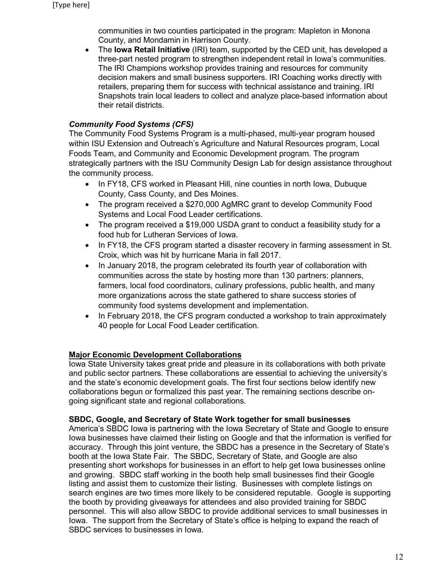communities in two counties participated in the program: Mapleton in Monona County, and Mondamin in Harrison County.

• The **Iowa Retail Initiative** (IRI) team, supported by the CED unit, has developed a three-part nested program to strengthen independent retail in Iowa's communities. The IRI Champions workshop provides training and resources for community decision makers and small business supporters. IRI Coaching works directly with retailers, preparing them for success with technical assistance and training. IRI Snapshots train local leaders to collect and analyze place-based information about their retail districts.

## *Community Food Systems (CFS)*

The Community Food Systems Program is a multi-phased, multi-year program housed within ISU Extension and Outreach's Agriculture and Natural Resources program, Local Foods Team, and Community and Economic Development program. The program strategically partners with the ISU Community Design Lab for design assistance throughout the community process.

- In FY18, CFS worked in Pleasant Hill, nine counties in north Iowa, Dubuque County, Cass County, and Des Moines.
- The program received a \$270,000 AgMRC grant to develop Community Food Systems and Local Food Leader certifications.
- The program received a \$19,000 USDA grant to conduct a feasibility study for a food hub for Lutheran Services of Iowa.
- In FY18, the CFS program started a disaster recovery in farming assessment in St. Croix, which was hit by hurricane Maria in fall 2017.
- In January 2018, the program celebrated its fourth year of collaboration with communities across the state by hosting more than 130 partners: planners, farmers, local food coordinators, culinary professions, public health, and many more organizations across the state gathered to share success stories of community food systems development and implementation.
- In February 2018, the CFS program conducted a workshop to train approximately 40 people for Local Food Leader certification.

## **Major Economic Development Collaborations**

Iowa State University takes great pride and pleasure in its collaborations with both private and public sector partners. These collaborations are essential to achieving the university's and the state's economic development goals. The first four sections below identify new collaborations begun or formalized this past year. The remaining sections describe ongoing significant state and regional collaborations.

## **SBDC, Google, and Secretary of State Work together for small businesses**

America's SBDC Iowa is partnering with the Iowa Secretary of State and Google to ensure Iowa businesses have claimed their listing on Google and that the information is verified for accuracy. Through this joint venture, the SBDC has a presence in the Secretary of State's booth at the Iowa State Fair. The SBDC, Secretary of State, and Google are also presenting short workshops for businesses in an effort to help get Iowa businesses online and growing. SBDC staff working in the booth help small businesses find their Google listing and assist them to customize their listing. Businesses with complete listings on search engines are two times more likely to be considered reputable. Google is supporting the booth by providing giveaways for attendees and also provided training for SBDC personnel. This will also allow SBDC to provide additional services to small businesses in Iowa. The support from the Secretary of State's office is helping to expand the reach of SBDC services to businesses in Iowa.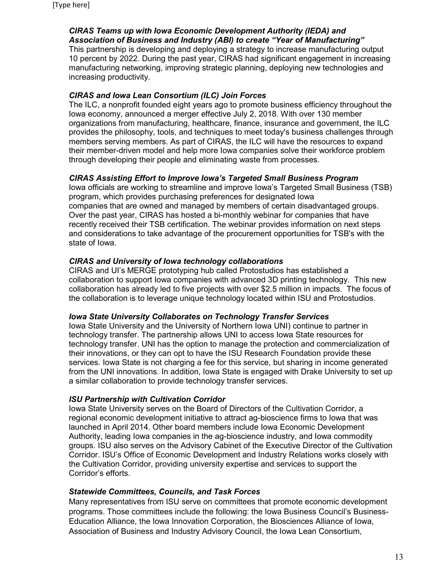## *CIRAS Teams up with Iowa Economic Development Authority (IEDA) and Association of Business and Industry (ABI) to create "Year of Manufacturing"*

This partnership is developing and deploying a strategy to increase manufacturing output 10 percent by 2022. During the past year, CIRAS had significant engagement in increasing manufacturing networking, improving strategic planning, deploying new technologies and increasing productivity.

## *CIRAS and Iowa Lean Consortium (ILC) Join Forces*

The ILC, a nonprofit founded eight years ago to promote business efficiency throughout the Iowa economy, announced a merger effective July 2, 2018. With over 130 member organizations from manufacturing, healthcare, finance, insurance and government, the ILC provides the philosophy, tools, and techniques to meet today's business challenges through members serving members. As part of CIRAS, the ILC will have the resources to expand their member-driven model and help more Iowa companies solve their workforce problem through developing their people and eliminating waste from processes.

## *CIRAS Assisting Effort to Improve Iowa's Targeted Small Business Program*

Iowa officials are working to streamline and improve Iowa's Targeted Small Business (TSB) program, which provides purchasing preferences for designated Iowa companies that are owned and managed by members of certain disadvantaged groups. Over the past year, CIRAS has hosted a bi-monthly webinar for companies that have recently received their TSB certification. The webinar provides information on next steps and considerations to take advantage of the procurement opportunities for TSB's with the state of Iowa.

## *CIRAS and University of Iowa technology collaborations*

CIRAS and UI's MERGE prototyping hub called Protostudios has established a collaboration to support Iowa companies with advanced 3D printing technology. This new collaboration has already led to five projects with over \$2.5 million in impacts. The focus of the collaboration is to leverage unique technology located within ISU and Protostudios.

## *Iowa State University Collaborates on Technology Transfer Services*

Iowa State University and the University of Northern Iowa UNI) continue to partner in technology transfer. The partnership allows UNI to access Iowa State resources for technology transfer. UNI has the option to manage the protection and commercialization of their innovations, or they can opt to have the ISU Research Foundation provide these services. Iowa State is not charging a fee for this service, but sharing in income generated from the UNI innovations. In addition, Iowa State is engaged with Drake University to set up a similar collaboration to provide technology transfer services.

## *ISU Partnership with Cultivation Corridor*

Iowa State University serves on the Board of Directors of the Cultivation Corridor, a regional economic development initiative to attract ag-bioscience firms to Iowa that was launched in April 2014. Other board members include Iowa Economic Development Authority, leading Iowa companies in the ag-bioscience industry, and Iowa commodity groups. ISU also serves on the Advisory Cabinet of the Executive Director of the Cultivation Corridor. ISU's Office of Economic Development and Industry Relations works closely with the Cultivation Corridor, providing university expertise and services to support the Corridor's efforts.

## *Statewide Committees, Councils, and Task Forces*

Many representatives from ISU serve on committees that promote economic development programs. Those committees include the following: the Iowa Business Council's Business-Education Alliance, the Iowa Innovation Corporation, the Biosciences Alliance of Iowa, Association of Business and Industry Advisory Council, the Iowa Lean Consortium,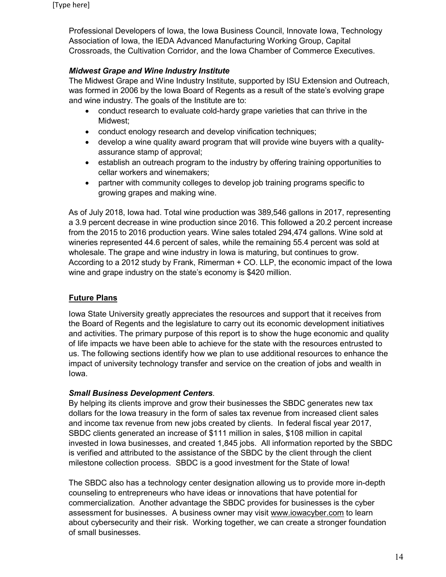Professional Developers of Iowa, the Iowa Business Council, Innovate Iowa, Technology Association of Iowa, the IEDA Advanced Manufacturing Working Group, Capital Crossroads, the Cultivation Corridor, and the Iowa Chamber of Commerce Executives.

## *Midwest Grape and Wine Industry Institute*

The Midwest Grape and Wine Industry Institute, supported by ISU Extension and Outreach, was formed in 2006 by the Iowa Board of Regents as a result of the state's evolving grape and wine industry. The goals of the Institute are to:

- conduct research to evaluate cold-hardy grape varieties that can thrive in the Midwest;
- conduct enology research and develop vinification techniques;
- develop a wine quality award program that will provide wine buyers with a qualityassurance stamp of approval;
- establish an outreach program to the industry by offering training opportunities to cellar workers and winemakers;
- partner with community colleges to develop job training programs specific to growing grapes and making wine.

As of July 2018, Iowa had. Total wine production was 389,546 gallons in 2017, representing a 3.9 percent decrease in wine production since 2016. This followed a 20.2 percent increase from the 2015 to 2016 production years. Wine sales totaled 294,474 gallons. Wine sold at wineries represented 44.6 percent of sales, while the remaining 55.4 percent was sold at wholesale. The grape and wine industry in Iowa is maturing, but continues to grow. According to a 2012 study by Frank, Rimerman + CO. LLP, the economic impact of the Iowa wine and grape industry on the state's economy is \$420 million.

## **Future Plans**

Iowa State University greatly appreciates the resources and support that it receives from the Board of Regents and the legislature to carry out its economic development initiatives and activities. The primary purpose of this report is to show the huge economic and quality of life impacts we have been able to achieve for the state with the resources entrusted to us. The following sections identify how we plan to use additional resources to enhance the impact of university technology transfer and service on the creation of jobs and wealth in Iowa.

## *Small Business Development Centers*.

By helping its clients improve and grow their businesses the SBDC generates new tax dollars for the Iowa treasury in the form of sales tax revenue from increased client sales and income tax revenue from new jobs created by clients. In federal fiscal year 2017, SBDC clients generated an increase of \$111 million in sales, \$108 million in capital invested in Iowa businesses, and created 1,845 jobs. All information reported by the SBDC is verified and attributed to the assistance of the SBDC by the client through the client milestone collection process. SBDC is a good investment for the State of Iowa!

The SBDC also has a technology center designation allowing us to provide more in-depth counseling to entrepreneurs who have ideas or innovations that have potential for commercialization. Another advantage the SBDC provides for businesses is the cyber assessment for businesses. A business owner may visit [www.iowacyber.com](http://www.iowacyber.com/) to learn about cybersecurity and their risk. Working together, we can create a stronger foundation of small businesses.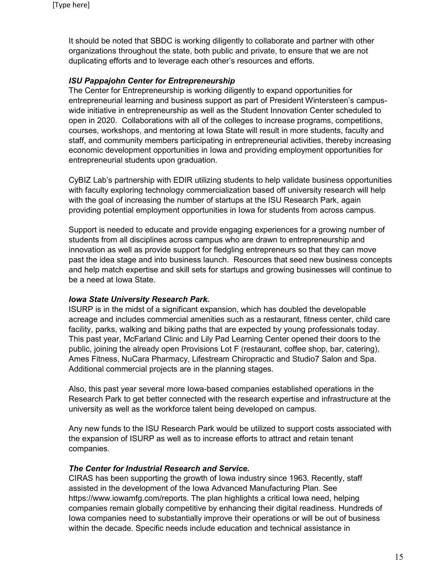It should be noted that SBDC is working diligently to collaborate and partner with other organizations throughout the state, both public and private, to ensure that we are not duplicating efforts and to leverage each other's resources and efforts.

## *ISU Pappajohn Center for Entrepreneurship*

The Center for Entrepreneurship is working diligently to expand opportunities for entrepreneurial learning and business support as part of President Wintersteen's campuswide initiative in entrepreneurship as well as the Student Innovation Center scheduled to open in 2020. Collaborations with all of the colleges to increase programs, competitions, courses, workshops, and mentoring at Iowa State will result in more students, faculty and staff, and community members participating in entrepreneurial activities, thereby increasing economic development opportunities in Iowa and providing employment opportunities for entrepreneurial students upon graduation.

CyBIZ Lab's partnership with EDIR utilizing students to help validate business opportunities with faculty exploring technology commercialization based off university research will help with the goal of increasing the number of startups at the ISU Research Park, again providing potential employment opportunities in Iowa for students from across campus.

Support is needed to educate and provide engaging experiences for a growing number of students from all disciplines across campus who are drawn to entrepreneurship and innovation as well as provide support for fledgling entrepreneurs so that they can move past the idea stage and into business launch. Resources that seed new business concepts and help match expertise and skill sets for startups and growing businesses will continue to be a need at Iowa State.

## *Iowa State University Research Park.*

ISURP is in the midst of a significant expansion, which has doubled the developable acreage and includes commercial amenities such as a restaurant, fitness center, child care facility, parks, walking and biking paths that are expected by young professionals today. This past year, McFarland Clinic and Lily Pad Learning Center opened their doors to the public, joining the already open Provisions Lot F (restaurant, coffee shop, bar, catering), Ames Fitness, NuCara Pharmacy, Lifestream Chiropractic and Studio7 Salon and Spa. Additional commercial projects are in the planning stages.

Also, this past year several more Iowa-based companies established operations in the Research Park to get better connected with the research expertise and infrastructure at the university as well as the workforce talent being developed on campus.

Any new funds to the ISU Research Park would be utilized to support costs associated with the expansion of ISURP as well as to increase efforts to attract and retain tenant companies.

## *The Center for Industrial Research and Service.*

CIRAS has been supporting the growth of Iowa industry since 1963. Recently, staff assisted in the development of the Iowa Advanced Manufacturing Plan. See https://www.iowamfg.com/reports. The plan highlights a critical Iowa need, helping companies remain globally competitive by enhancing their digital readiness. Hundreds of Iowa companies need to substantially improve their operations or will be out of business within the decade. Specific needs include education and technical assistance in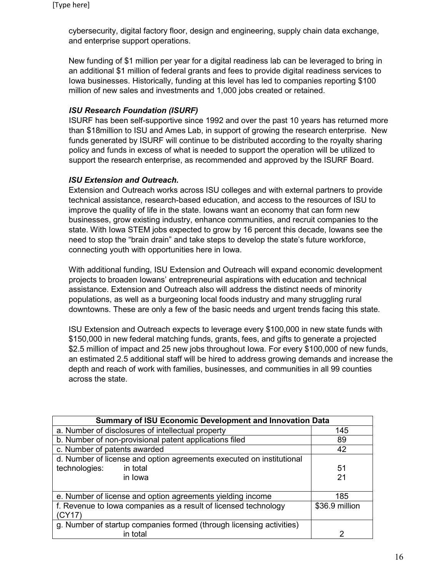cybersecurity, digital factory floor, design and engineering, supply chain data exchange, and enterprise support operations.

New funding of \$1 million per year for a digital readiness lab can be leveraged to bring in an additional \$1 million of federal grants and fees to provide digital readiness services to Iowa businesses. Historically, funding at this level has led to companies reporting \$100 million of new sales and investments and 1,000 jobs created or retained.

## *ISU Research Foundation (ISURF)*

ISURF has been self-supportive since 1992 and over the past 10 years has returned more than \$18million to ISU and Ames Lab, in support of growing the research enterprise. New funds generated by ISURF will continue to be distributed according to the royalty sharing policy and funds in excess of what is needed to support the operation will be utilized to support the research enterprise, as recommended and approved by the ISURF Board.

## *ISU Extension and Outreach.*

Extension and Outreach works across ISU colleges and with external partners to provide technical assistance, research-based education, and access to the resources of ISU to improve the quality of life in the state. Iowans want an economy that can form new businesses, grow existing industry, enhance communities, and recruit companies to the state. With Iowa STEM jobs expected to grow by 16 percent this decade, Iowans see the need to stop the "brain drain" and take steps to develop the state's future workforce, connecting youth with opportunities here in Iowa.

With additional funding, ISU Extension and Outreach will expand economic development projects to broaden Iowans' entrepreneurial aspirations with education and technical assistance. Extension and Outreach also will address the distinct needs of minority populations, as well as a burgeoning local foods industry and many struggling rural downtowns. These are only a few of the basic needs and urgent trends facing this state.

ISU Extension and Outreach expects to leverage every \$100,000 in new state funds with \$150,000 in new federal matching funds, grants, fees, and gifts to generate a projected \$2.5 million of impact and 25 new jobs throughout lowa. For every \$100,000 of new funds, an estimated 2.5 additional staff will be hired to address growing demands and increase the depth and reach of work with families, businesses, and communities in all 99 counties across the state.

| <b>Summary of ISU Economic Development and Innovation Data</b>       |                |  |  |  |
|----------------------------------------------------------------------|----------------|--|--|--|
| a. Number of disclosures of intellectual property                    | 145            |  |  |  |
| b. Number of non-provisional patent applications filed               | 89             |  |  |  |
| c. Number of patents awarded                                         | 42             |  |  |  |
| d. Number of license and option agreements executed on institutional |                |  |  |  |
| technologies:<br>in total                                            | 51             |  |  |  |
| in Iowa                                                              | 21             |  |  |  |
|                                                                      |                |  |  |  |
| e. Number of license and option agreements yielding income           | 185            |  |  |  |
| f. Revenue to lowa companies as a result of licensed technology      | \$36.9 million |  |  |  |
| (CY17)                                                               |                |  |  |  |
| g. Number of startup companies formed (through licensing activities) |                |  |  |  |
| in total                                                             | າ              |  |  |  |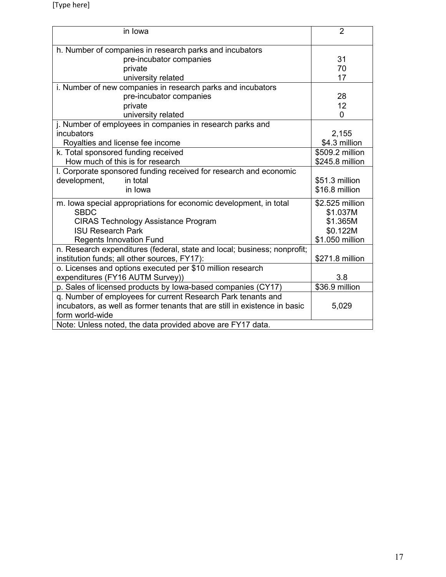| in Iowa                                                                    | $\overline{2}$  |
|----------------------------------------------------------------------------|-----------------|
|                                                                            |                 |
| h. Number of companies in research parks and incubators                    |                 |
| pre-incubator companies                                                    | 31              |
| private                                                                    | 70              |
| university related                                                         | 17              |
| i. Number of new companies in research parks and incubators                |                 |
| pre-incubator companies                                                    | 28              |
| private                                                                    | 12              |
| university related                                                         | 0               |
| j. Number of employees in companies in research parks and                  |                 |
| incubators                                                                 | 2,155           |
| Royalties and license fee income                                           | \$4.3 million   |
| k. Total sponsored funding received                                        | \$509.2 million |
| How much of this is for research                                           | \$245.8 million |
| I. Corporate sponsored funding received for research and economic          |                 |
| development,<br>in total                                                   | \$51.3 million  |
| in Iowa                                                                    | \$16.8 million  |
| m. Iowa special appropriations for economic development, in total          | \$2.525 million |
| <b>SBDC</b>                                                                | \$1.037M        |
| <b>CIRAS Technology Assistance Program</b>                                 | \$1.365M        |
| <b>ISU Research Park</b>                                                   | \$0.122M        |
| <b>Regents Innovation Fund</b>                                             | \$1.050 million |
| n. Research expenditures (federal, state and local; business; nonprofit;   |                 |
| institution funds; all other sources, FY17):                               | \$271.8 million |
| o. Licenses and options executed per \$10 million research                 |                 |
| expenditures (FY16 AUTM Survey))                                           | 3.8             |
| p. Sales of licensed products by lowa-based companies (CY17)               | \$36.9 million  |
| q. Number of employees for current Research Park tenants and               |                 |
| incubators, as well as former tenants that are still in existence in basic | 5,029           |
| form world-wide                                                            |                 |
| Note: Unless noted, the data provided above are FY17 data.                 |                 |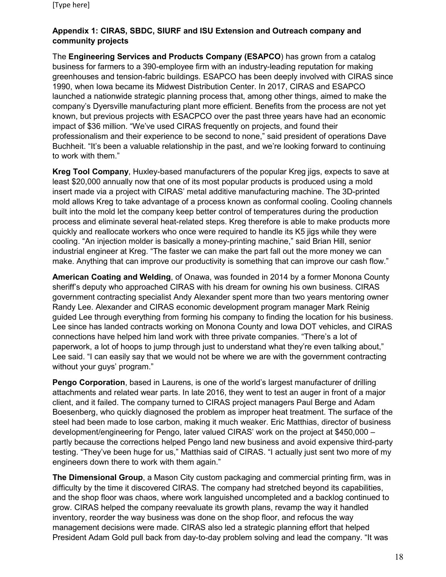## **Appendix 1: CIRAS, SBDC, SIURF and ISU Extension and Outreach company and community projects**

The **Engineering Services and Products Company (ESAPCO**) has grown from a catalog business for farmers to a 390-employee firm with an industry-leading reputation for making greenhouses and tension-fabric buildings. ESAPCO has been deeply involved with CIRAS since 1990, when Iowa became its Midwest Distribution Center. In 2017, CIRAS and ESAPCO launched a nationwide strategic planning process that, among other things, aimed to make the company's Dyersville manufacturing plant more efficient. Benefits from the process are not yet known, but previous projects with ESACPCO over the past three years have had an economic impact of \$36 million. "We've used CIRAS frequently on projects, and found their professionalism and their experience to be second to none," said president of operations Dave Buchheit. "It's been a valuable relationship in the past, and we're looking forward to continuing to work with them."

**Kreg Tool Company**, Huxley-based manufacturers of the popular Kreg jigs, expects to save at least \$20,000 annually now that one of its most popular products is produced using a mold insert made via a project with CIRAS' metal additive manufacturing machine. The 3D-printed mold allows Kreg to take advantage of a process known as conformal cooling. Cooling channels built into the mold let the company keep better control of temperatures during the production process and eliminate several heat-related steps. Kreg therefore is able to make products more quickly and reallocate workers who once were required to handle its K5 jigs while they were cooling. "An injection molder is basically a money-printing machine," said Brian Hill, senior industrial engineer at Kreg. "The faster we can make the part fall out the more money we can make. Anything that can improve our productivity is something that can improve our cash flow."

**American Coating and Welding**, of Onawa, was founded in 2014 by a former Monona County sheriff's deputy who approached CIRAS with his dream for owning his own business. CIRAS government contracting specialist Andy Alexander spent more than two years mentoring owner Randy Lee. Alexander and CIRAS economic development program manager Mark Reinig guided Lee through everything from forming his company to finding the location for his business. Lee since has landed contracts working on Monona County and Iowa DOT vehicles, and CIRAS connections have helped him land work with three private companies. "There's a lot of paperwork, a lot of hoops to jump through just to understand what they're even talking about," Lee said. "I can easily say that we would not be where we are with the government contracting without your guys' program."

**Pengo Corporation**, based in Laurens, is one of the world's largest manufacturer of drilling attachments and related wear parts. In late 2016, they went to test an auger in front of a major client, and it failed. The company turned to CIRAS project managers Paul Berge and Adam Boesenberg, who quickly diagnosed the problem as improper heat treatment. The surface of the steel had been made to lose carbon, making it much weaker. Eric Matthias, director of business development/engineering for Pengo, later valued CIRAS' work on the project at \$450,000 – partly because the corrections helped Pengo land new business and avoid expensive third-party testing. "They've been huge for us," Matthias said of CIRAS. "I actually just sent two more of my engineers down there to work with them again."

**The Dimensional Group**, a Mason City custom packaging and commercial printing firm, was in difficulty by the time it discovered CIRAS. The company had stretched beyond its capabilities, and the shop floor was chaos, where work languished uncompleted and a backlog continued to grow. CIRAS helped the company reevaluate its growth plans, revamp the way it handled inventory, reorder the way business was done on the shop floor, and refocus the way management decisions were made. CIRAS also led a strategic planning effort that helped President Adam Gold pull back from day-to-day problem solving and lead the company. "It was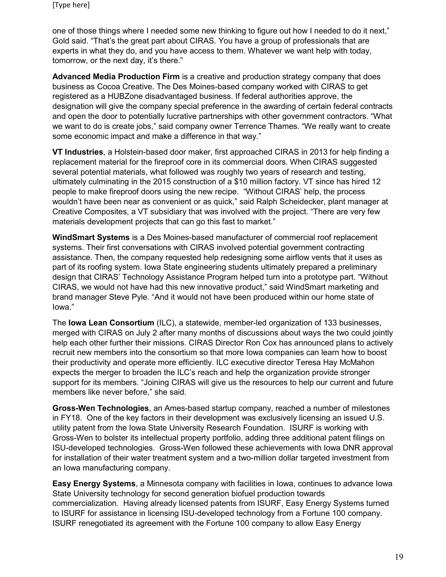one of those things where I needed some new thinking to figure out how I needed to do it next," Gold said. "That's the great part about CIRAS. You have a group of professionals that are experts in what they do, and you have access to them. Whatever we want help with today, tomorrow, or the next day, it's there."

**Advanced Media Production Firm** is a creative and production strategy company that does business as Cocoa Creative. The Des Moines-based company worked with CIRAS to get registered as a HUBZone disadvantaged business. If federal authorities approve, the designation will give the company special preference in the awarding of certain federal contracts and open the door to potentially lucrative partnerships with other government contractors. "What we want to do is create jobs," said company owner Terrence Thames. "We really want to create some economic impact and make a difference in that way."

**VT Industries**, a Holstein-based door maker, first approached CIRAS in 2013 for help finding a replacement material for the fireproof core in its commercial doors. When CIRAS suggested several potential materials, what followed was roughly two years of research and testing, ultimately culminating in the 2015 construction of a \$10 million factory. VT since has hired 12 people to make fireproof doors using the new recipe. "Without CIRAS' help, the process wouldn't have been near as convenient or as quick," said Ralph Scheidecker, plant manager at Creative Composites, a VT subsidiary that was involved with the project. "There are very few materials development projects that can go this fast to market."

**WindSmart Systems** is a Des Moines-based manufacturer of commercial roof replacement systems. Their first conversations with CIRAS involved potential government contracting assistance. Then, the company requested help redesigning some airflow vents that it uses as part of its roofing system. Iowa State engineering students ultimately prepared a preliminary design that CIRAS' Technology Assistance Program helped turn into a prototype part. "Without CIRAS, we would not have had this new innovative product," said WindSmart marketing and brand manager Steve Pyle. "And it would not have been produced within our home state of Iowa."

The **Iowa Lean Consortium** (ILC), a statewide, member-led organization of 133 businesses, merged with CIRAS on July 2 after many months of discussions about ways the two could jointly help each other further their missions. CIRAS Director Ron Cox has announced plans to actively recruit new members into the consortium so that more Iowa companies can learn how to boost their productivity and operate more efficiently. ILC executive director Teresa Hay McMahon expects the merger to broaden the ILC's reach and help the organization provide stronger support for its members. "Joining CIRAS will give us the resources to help our current and future members like never before," she said.

**Gross-Wen Technologies**, an Ames-based startup company, reached a number of milestones in FY18. One of the key factors in their development was exclusively licensing an issued U.S. utility patent from the Iowa State University Research Foundation. ISURF is working with Gross-Wen to bolster its intellectual property portfolio, adding three additional patent filings on ISU-developed technologies. Gross-Wen followed these achievements with Iowa DNR approval for installation of their water treatment system and a two-million dollar targeted investment from an Iowa manufacturing company.

**Easy Energy Systems**, a Minnesota company with facilities in Iowa, continues to advance Iowa State University technology for second generation biofuel production towards commercialization. Having already licensed patents from ISURF, Easy Energy Systems turned to ISURF for assistance in licensing ISU-developed technology from a Fortune 100 company. ISURF renegotiated its agreement with the Fortune 100 company to allow Easy Energy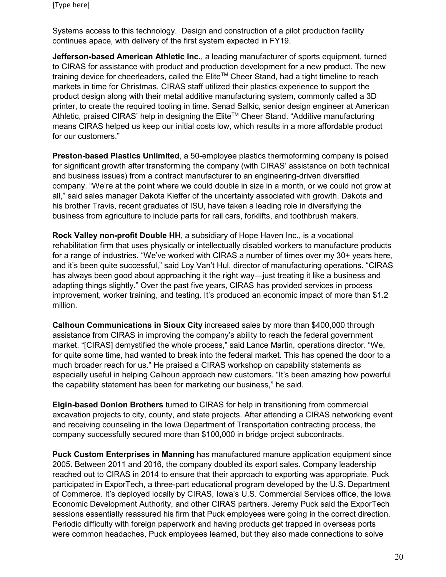Systems access to this technology. Design and construction of a pilot production facility continues apace, with delivery of the first system expected in FY19.

**Jefferson-based American Athletic Inc.**, a leading manufacturer of sports equipment, turned to CIRAS for assistance with product and production development for a new product. The new training device for cheerleaders, called the Elite™ Cheer Stand, had a tight timeline to reach markets in time for Christmas. CIRAS staff utilized their plastics experience to support the product design along with their metal additive manufacturing system, commonly called a 3D printer, to create the required tooling in time. Senad Salkic, senior design engineer at American Athletic, praised CIRAS' help in designing the Elite<sup>™</sup> Cheer Stand. "Additive manufacturing means CIRAS helped us keep our initial costs low, which results in a more affordable product for our customers."

**Preston-based Plastics Unlimited**, a 50-employee plastics thermoforming company is poised for significant growth after transforming the company (with CIRAS' assistance on both technical and business issues) from a contract manufacturer to an engineering-driven diversified company. "We're at the point where we could double in size in a month, or we could not grow at all," said sales manager Dakota Kieffer of the uncertainty associated with growth. Dakota and his brother Travis, recent graduates of ISU, have taken a leading role in diversifying the business from agriculture to include parts for rail cars, forklifts, and toothbrush makers.

**Rock Valley non-profit Double HH**, a subsidiary of Hope Haven Inc., is a vocational rehabilitation firm that uses physically or intellectually disabled workers to manufacture products for a range of industries. "We've worked with CIRAS a number of times over my 30+ years here, and it's been quite successful," said Loy Van't Hul, director of manufacturing operations. "CIRAS has always been good about approaching it the right way—just treating it like a business and adapting things slightly." Over the past five years, CIRAS has provided services in process improvement, worker training, and testing. It's produced an economic impact of more than \$1.2 million.

**Calhoun Communications in Sioux City** increased sales by more than \$400,000 through assistance from CIRAS in improving the company's ability to reach the federal government market. "[CIRAS] demystified the whole process," said Lance Martin, operations director. "We, for quite some time, had wanted to break into the federal market. This has opened the door to a much broader reach for us." He praised a CIRAS workshop on capability statements as especially useful in helping Calhoun approach new customers. "It's been amazing how powerful the capability statement has been for marketing our business," he said.

**Elgin-based Donlon Brothers** turned to CIRAS for help in transitioning from commercial excavation projects to city, county, and state projects. After attending a CIRAS networking event and receiving counseling in the Iowa Department of Transportation contracting process, the company successfully secured more than \$100,000 in bridge project subcontracts.

**Puck Custom Enterprises in Manning** has manufactured manure application equipment since 2005. Between 2011 and 2016, the company doubled its export sales. Company leadership reached out to CIRAS in 2014 to ensure that their approach to exporting was appropriate. Puck participated in ExporTech, a three-part educational program developed by the U.S. Department of Commerce. It's deployed locally by CIRAS, Iowa's U.S. Commercial Services office, the Iowa Economic Development Authority, and other CIRAS partners. Jeremy Puck said the ExporTech sessions essentially reassured his firm that Puck employees were going in the correct direction. Periodic difficulty with foreign paperwork and having products get trapped in overseas ports were common headaches, Puck employees learned, but they also made connections to solve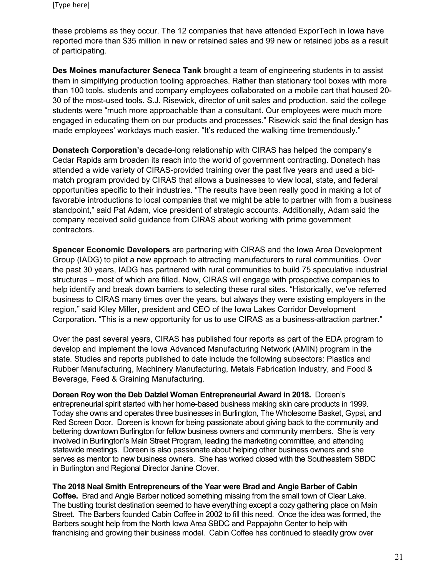these problems as they occur. The 12 companies that have attended ExporTech in Iowa have reported more than \$35 million in new or retained sales and 99 new or retained jobs as a result of participating.

**Des Moines manufacturer Seneca Tank** brought a team of engineering students in to assist them in simplifying production tooling approaches. Rather than stationary tool boxes with more than 100 tools, students and company employees collaborated on a mobile cart that housed 20- 30 of the most-used tools. S.J. Risewick, director of unit sales and production, said the college students were "much more approachable than a consultant. Our employees were much more engaged in educating them on our products and processes." Risewick said the final design has made employees' workdays much easier. "It's reduced the walking time tremendously."

**Donatech Corporation's** decade-long relationship with CIRAS has helped the company's Cedar Rapids arm broaden its reach into the world of government contracting. Donatech has attended a wide variety of CIRAS-provided training over the past five years and used a bidmatch program provided by CIRAS that allows a businesses to view local, state, and federal opportunities specific to their industries. "The results have been really good in making a lot of favorable introductions to local companies that we might be able to partner with from a business standpoint," said Pat Adam, vice president of strategic accounts. Additionally, Adam said the company received solid guidance from CIRAS about working with prime government contractors.

**Spencer Economic Developers** are partnering with CIRAS and the Iowa Area Development Group (IADG) to pilot a new approach to attracting manufacturers to rural communities. Over the past 30 years, IADG has partnered with rural communities to build 75 speculative industrial structures – most of which are filled. Now, CIRAS will engage with prospective companies to help identify and break down barriers to selecting these rural sites. "Historically, we've referred business to CIRAS many times over the years, but always they were existing employers in the region," said Kiley Miller, president and CEO of the Iowa Lakes Corridor Development Corporation. "This is a new opportunity for us to use CIRAS as a business-attraction partner."

Over the past several years, CIRAS has published four reports as part of the EDA program to develop and implement the Iowa Advanced Manufacturing Network (AMIN) program in the state. Studies and reports published to date include the following subsectors: Plastics and Rubber Manufacturing, Machinery Manufacturing, Metals Fabrication Industry, and Food & Beverage, Feed & Graining Manufacturing.

**Doreen Roy won the Deb Dalziel Woman Entrepreneurial Award in 2018.** Doreen's entrepreneurial spirit started with her home-based business making skin care products in 1999. Today she owns and operates three businesses in Burlington, The Wholesome Basket, Gypsi, and Red Screen Door. Doreen is known for being passionate about giving back to the community and bettering downtown Burlington for fellow business owners and community members. She is very involved in Burlington's Main Street Program, leading the marketing committee, and attending statewide meetings. Doreen is also passionate about helping other business owners and she serves as mentor to new business owners. She has worked closed with the Southeastern SBDC in Burlington and Regional Director Janine Clover.

**The 2018 Neal Smith Entrepreneurs of the Year were Brad and Angie Barber of Cabin Coffee.** Brad and Angie Barber noticed something missing from the small town of Clear Lake. The bustling tourist destination seemed to have everything except a cozy gathering place on Main Street. The Barbers founded Cabin Coffee in 2002 to fill this need. Once the idea was formed, the Barbers sought help from the North Iowa Area SBDC and Pappajohn Center to help with franchising and growing their business model. Cabin Coffee has continued to steadily grow over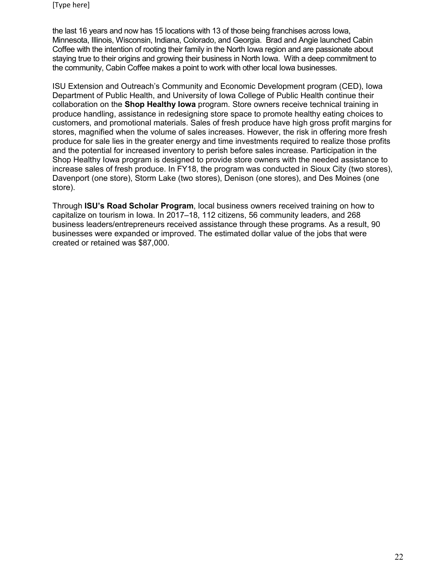the last 16 years and now has 15 locations with 13 of those being franchises across Iowa, Minnesota, Illinois, Wisconsin, Indiana, Colorado, and Georgia. Brad and Angie launched Cabin Coffee with the intention of rooting their family in the North Iowa region and are passionate about staying true to their origins and growing their business in North Iowa. With a deep commitment to the community, Cabin Coffee makes a point to work with other local Iowa businesses.

ISU Extension and Outreach's Community and Economic Development program (CED), Iowa Department of Public Health, and University of Iowa College of Public Health continue their collaboration on the **Shop Healthy Iowa** program. Store owners receive technical training in produce handling, assistance in redesigning store space to promote healthy eating choices to customers, and promotional materials. Sales of fresh produce have high gross profit margins for stores, magnified when the volume of sales increases. However, the risk in offering more fresh produce for sale lies in the greater energy and time investments required to realize those profits and the potential for increased inventory to perish before sales increase. Participation in the Shop Healthy Iowa program is designed to provide store owners with the needed assistance to increase sales of fresh produce. In FY18, the program was conducted in Sioux City (two stores), Davenport (one store), Storm Lake (two stores), Denison (one stores), and Des Moines (one store).

Through **ISU's Road Scholar Program**, local business owners received training on how to capitalize on tourism in Iowa. In 2017–18, 112 citizens, 56 community leaders, and 268 business leaders/entrepreneurs received assistance through these programs. As a result, 90 businesses were expanded or improved. The estimated dollar value of the jobs that were created or retained was \$87,000.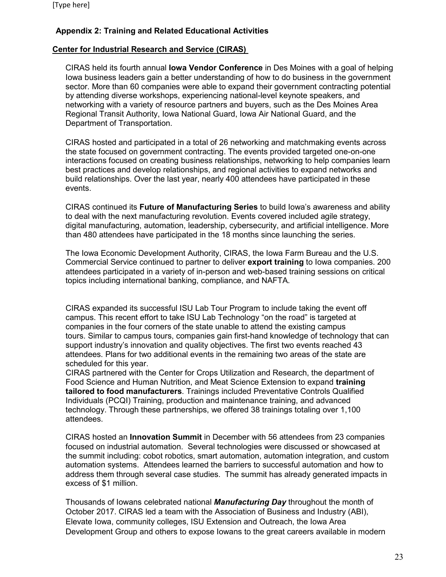## **Appendix 2: Training and Related Educational Activities**

## **Center for Industrial Research and Service (CIRAS)**

CIRAS held its fourth annual **Iowa Vendor Conference** in Des Moines with a goal of helping Iowa business leaders gain a better understanding of how to do business in the government sector. More than 60 companies were able to expand their government contracting potential by attending diverse workshops, experiencing national-level keynote speakers, and networking with a variety of resource partners and buyers, such as the Des Moines Area Regional Transit Authority, Iowa National Guard, Iowa Air National Guard, and the Department of Transportation.

CIRAS hosted and participated in a total of 26 networking and matchmaking events across the state focused on government contracting. The events provided targeted one-on-one interactions focused on creating business relationships, networking to help companies learn best practices and develop relationships, and regional activities to expand networks and build relationships. Over the last year, nearly 400 attendees have participated in these events.

CIRAS continued its **Future of Manufacturing Series** to build Iowa's awareness and ability to deal with the next manufacturing revolution. Events covered included agile strategy, digital manufacturing, automation, leadership, cybersecurity, and artificial intelligence. More than 480 attendees have participated in the 18 months since launching the series.

The Iowa Economic Development Authority, CIRAS, the Iowa Farm Bureau and the U.S. Commercial Service continued to partner to deliver **export training** to Iowa companies. 200 attendees participated in a variety of in-person and web-based training sessions on critical topics including international banking, compliance, and NAFTA.

CIRAS expanded its successful ISU Lab Tour Program to include taking the event off campus. This recent effort to take ISU Lab Technology "on the road" is targeted at companies in the four corners of the state unable to attend the existing campus tours. Similar to campus tours, companies gain first-hand knowledge of technology that can support industry's innovation and quality objectives. The first two events reached 43 attendees. Plans for two additional events in the remaining two areas of the state are scheduled for this year.

CIRAS partnered with the Center for Crops Utilization and Research, the department of Food Science and Human Nutrition, and Meat Science Extension to expand **training tailored to food manufacturers**. Trainings included Preventative Controls Qualified Individuals (PCQI) Training, production and maintenance training, and advanced technology. Through these partnerships, we offered 38 trainings totaling over 1,100 attendees.

CIRAS hosted an **Innovation Summit** in December with 56 attendees from 23 companies focused on industrial automation. Several technologies were discussed or showcased at the summit including: cobot robotics, smart automation, automation integration, and custom automation systems. Attendees learned the barriers to successful automation and how to address them through several case studies. The summit has already generated impacts in excess of \$1 million.

Thousands of Iowans celebrated national *Manufacturing Day* throughout the month of October 2017. CIRAS led a team with the Association of Business and Industry (ABI), Elevate Iowa, community colleges, ISU Extension and Outreach, the Iowa Area Development Group and others to expose Iowans to the great careers available in modern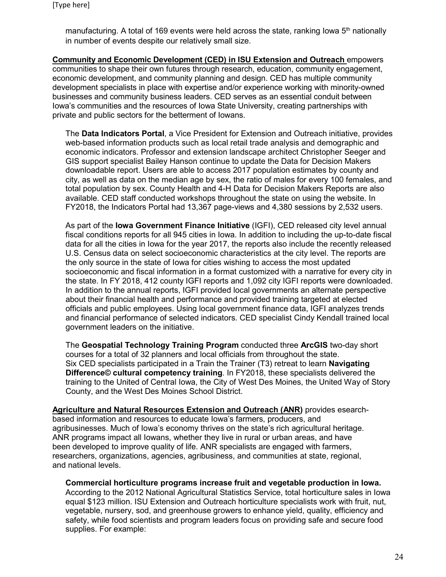manufacturing. A total of 169 events were held across the state, ranking lowa  $5<sup>th</sup>$  nationally in number of events despite our relatively small size.

**Community and Economic Development (CED) in ISU Extension and Outreach** empowers communities to shape their own futures through research, education, community engagement, economic development, and community planning and design. CED has multiple community development specialists in place with expertise and/or experience working with minority-owned businesses and community business leaders. CED serves as an essential conduit between Iowa's communities and the resources of Iowa State University, creating partnerships with private and public sectors for the betterment of Iowans.

The **Data Indicators Portal**, a Vice President for Extension and Outreach initiative, provides web-based information products such as local retail trade analysis and demographic and economic indicators. Professor and extension landscape architect Christopher Seeger and GIS support specialist Bailey Hanson continue to update the Data for Decision Makers downloadable report. Users are able to access 2017 population estimates by county and city, as well as data on the median age by sex, the ratio of males for every 100 females, and total population by sex. County Health and 4-H Data for Decision Makers Reports are also available. CED staff conducted workshops throughout the state on using the website. In FY2018, the Indicators Portal had 13,367 page-views and 4,380 sessions by 2,532 users.

As part of the **Iowa Government Finance Initiative** (IGFI), CED released city level annual fiscal conditions reports for all 945 cities in Iowa. In addition to including the up-to-date fiscal data for all the cities in Iowa for the year 2017, the reports also include the recently released U.S. Census data on select socioeconomic characteristics at the city level. The reports are the only source in the state of Iowa for cities wishing to access the most updated socioeconomic and fiscal information in a format customized with a narrative for every city in the state. In FY 2018, 412 county IGFI reports and 1,092 city IGFI reports were downloaded. In addition to the annual reports, IGFI provided local governments an alternate perspective about their financial health and performance and provided training targeted at elected officials and public employees. Using local government finance data, IGFI analyzes trends and financial performance of selected indicators. CED specialist Cindy Kendall trained local government leaders on the initiative.

The **Geospatial Technology Training Program** conducted three **ArcGIS** two-day short courses for a total of 32 planners and local officials from throughout the state. Six CED specialists participated in a Train the Trainer (T3) retreat to learn **Navigating Difference© cultural competency training**. In FY2018, these specialists delivered the training to the United of Central Iowa, the City of West Des Moines, the United Way of Story County, and the West Des Moines School District.

**Agriculture and Natural Resources Extension and Outreach (ANR)** provides esearchbased information and resources to educate Iowa's farmers, producers, and agribusinesses. Much of Iowa's economy thrives on the state's rich agricultural heritage. ANR programs impact all Iowans, whether they live in rural or urban areas, and have been developed to improve quality of life. ANR specialists are engaged with farmers, researchers, organizations, agencies, agribusiness, and communities at state, regional, and national levels.

**Commercial horticulture programs increase fruit and vegetable production in Iowa.**  According to the 2012 National Agricultural Statistics Service, total horticulture sales in Iowa equal \$123 million. ISU Extension and Outreach horticulture specialists work with fruit, nut, vegetable, nursery, sod, and greenhouse growers to enhance yield, quality, efficiency and safety, while food scientists and program leaders focus on providing safe and secure food supplies. For example: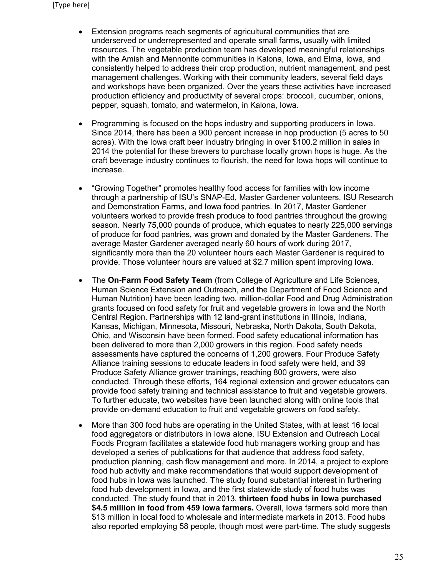- Extension programs reach segments of agricultural communities that are underserved or underrepresented and operate small farms, usually with limited resources. The vegetable production team has developed meaningful relationships with the Amish and Mennonite communities in Kalona, Iowa, and Elma, Iowa, and consistently helped to address their crop production, nutrient management, and pest management challenges. Working with their community leaders, several field days and workshops have been organized. Over the years these activities have increased production efficiency and productivity of several crops: broccoli, cucumber, onions, pepper, squash, tomato, and watermelon, in Kalona, Iowa.
- Programming is focused on the hops industry and supporting producers in Iowa. Since 2014, there has been a 900 percent increase in hop production (5 acres to 50 acres). With the Iowa craft beer industry bringing in over \$100.2 million in sales in 2014 the potential for these brewers to purchase locally grown hops is huge. As the craft beverage industry continues to flourish, the need for Iowa hops will continue to increase.
- "Growing Together" promotes healthy food access for families with low income through a partnership of ISU's SNAP-Ed, Master Gardener volunteers, ISU Research and Demonstration Farms, and Iowa food pantries. In 2017, Master Gardener volunteers worked to provide fresh produce to food pantries throughout the growing season. Nearly 75,000 pounds of produce, which equates to nearly 225,000 servings of produce for food pantries, was grown and donated by the Master Gardeners. The average Master Gardener averaged nearly 60 hours of work during 2017, significantly more than the 20 volunteer hours each Master Gardener is required to provide. Those volunteer hours are valued at \$2.7 million spent improving Iowa.
- The **On-Farm Food Safety Team** (from College of Agriculture and Life Sciences, Human Science Extension and Outreach, and the Department of Food Science and Human Nutrition) have been leading two, million-dollar Food and Drug Administration grants focused on food safety for fruit and vegetable growers in Iowa and the North Central Region. Partnerships with 12 land-grant institutions in Illinois, Indiana, Kansas, Michigan, Minnesota, Missouri, Nebraska, North Dakota, South Dakota, Ohio, and Wisconsin have been formed. Food safety educational information has been delivered to more than 2,000 growers in this region. Food safety needs assessments have captured the concerns of 1,200 growers. Four Produce Safety Alliance training sessions to educate leaders in food safety were held, and 39 Produce Safety Alliance grower trainings, reaching 800 growers, were also conducted. Through these efforts, 164 regional extension and grower educators can provide food safety training and technical assistance to fruit and vegetable growers. To further educate, two websites have been launched along with online tools that provide on-demand education to fruit and vegetable growers on food safety.
- More than 300 food hubs are operating in the United States, with at least 16 local food aggregators or distributors in Iowa alone. ISU Extension and Outreach Local Foods Program facilitates a statewide food hub managers working group and has developed a series of publications for that audience that address food safety, production planning, cash flow management and more. In 2014, a project to explore food hub activity and make recommendations that would support development of food hubs in Iowa was launched. The study found substantial interest in furthering food hub development in Iowa, and the first statewide study of food hubs was conducted. The study found that in 2013, **thirteen food hubs in Iowa purchased \$4.5 million in food from 459 Iowa farmers.** Overall, Iowa farmers sold more than \$13 million in local food to wholesale and intermediate markets in 2013. Food hubs also reported employing 58 people, though most were part-time. The study suggests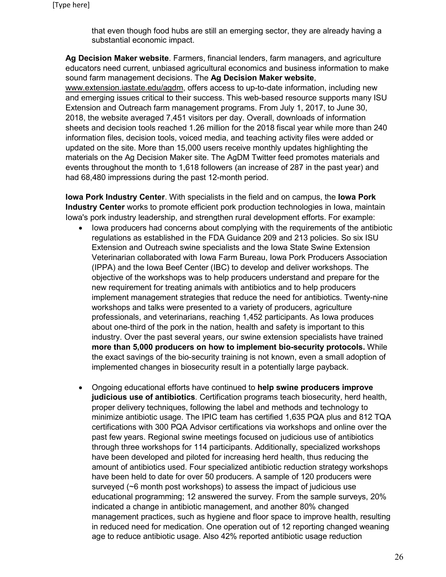that even though food hubs are still an emerging sector, they are already having a substantial economic impact.

**Ag Decision Maker website**. Farmers, financial lenders, farm managers, and agriculture educators need current, unbiased agricultural economics and business information to make sound farm management decisions. The **Ag Decision Maker website**, [www.extension.iastate.edu/agdm,](http://www.extension.iastate.edu/agdm) offers access to up-to-date information, including new and emerging issues critical to their success. This web-based resource supports many ISU Extension and Outreach farm management programs. From July 1, 2017, to June 30, 2018, the website averaged 7,451 visitors per day. Overall, downloads of information sheets and decision tools reached 1.26 million for the 2018 fiscal year while more than 240 information files, decision tools, voiced media, and teaching activity files were added or updated on the site. More than 15,000 users receive monthly updates highlighting the materials on the Ag Decision Maker site. The AgDM Twitter feed promotes materials and events throughout the month to 1,618 followers (an increase of 287 in the past year) and had 68,480 impressions during the past 12-month period.

**Iowa Pork Industry Center**. With specialists in the field and on campus, the **Iowa Pork Industry Center** works to promote efficient pork production technologies in Iowa, maintain Iowa's pork industry leadership, and strengthen rural development efforts. For example:

- Iowa producers had concerns about complying with the requirements of the antibiotic regulations as established in the FDA Guidance 209 and 213 policies. So six ISU Extension and Outreach swine specialists and the Iowa State Swine Extension Veterinarian collaborated with Iowa Farm Bureau, Iowa Pork Producers Association (IPPA) and the Iowa Beef Center (IBC) to develop and deliver workshops. The objective of the workshops was to help producers understand and prepare for the new requirement for treating animals with antibiotics and to help producers implement management strategies that reduce the need for antibiotics. Twenty-nine workshops and talks were presented to a variety of producers, agriculture professionals, and veterinarians, reaching 1,452 participants. As Iowa produces about one-third of the pork in the nation, health and safety is important to this industry. Over the past several years, our swine extension specialists have trained **more than 5,000 producers on how to implement bio-security protocols.** While the exact savings of the bio-security training is not known, even a small adoption of implemented changes in biosecurity result in a potentially large payback.
- Ongoing educational efforts have continued to **help swine producers improve judicious use of antibiotics**. Certification programs teach biosecurity, herd health, proper delivery techniques, following the label and methods and technology to minimize antibiotic usage. The IPIC team has certified 1,635 PQA plus and 812 TQA certifications with 300 PQA Advisor certifications via workshops and online over the past few years. Regional swine meetings focused on judicious use of antibiotics through three workshops for 114 participants. Additionally, specialized workshops have been developed and piloted for increasing herd health, thus reducing the amount of antibiotics used. Four specialized antibiotic reduction strategy workshops have been held to date for over 50 producers. A sample of 120 producers were surveyed (~6 month post workshops) to assess the impact of judicious use educational programming; 12 answered the survey. From the sample surveys, 20% indicated a change in antibiotic management, and another 80% changed management practices, such as hygiene and floor space to improve health, resulting in reduced need for medication. One operation out of 12 reporting changed weaning age to reduce antibiotic usage. Also 42% reported antibiotic usage reduction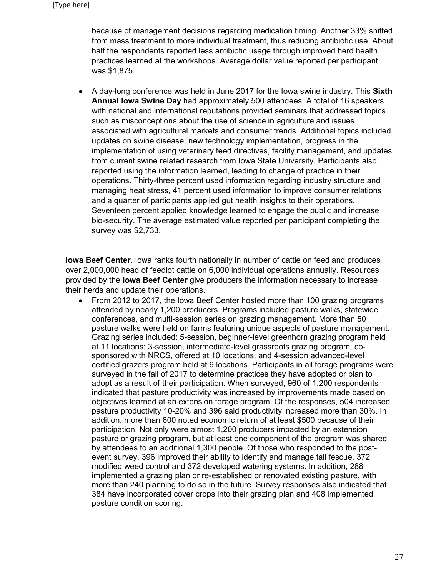because of management decisions regarding medication timing. Another 33% shifted from mass treatment to more individual treatment, thus reducing antibiotic use. About half the respondents reported less antibiotic usage through improved herd health practices learned at the workshops. Average dollar value reported per participant was \$1,875.

• A day-long conference was held in June 2017 for the Iowa swine industry. This **Sixth Annual Iowa Swine Day** had approximately 500 attendees. A total of 16 speakers with national and international reputations provided seminars that addressed topics such as misconceptions about the use of science in agriculture and issues associated with agricultural markets and consumer trends. Additional topics included updates on swine disease, new technology implementation, progress in the implementation of using veterinary feed directives, facility management, and updates from current swine related research from Iowa State University. Participants also reported using the information learned, leading to change of practice in their operations. Thirty-three percent used information regarding industry structure and managing heat stress, 41 percent used information to improve consumer relations and a quarter of participants applied gut health insights to their operations. Seventeen percent applied knowledge learned to engage the public and increase bio-security. The average estimated value reported per participant completing the survey was \$2,733.

**Iowa Beef Center**. Iowa ranks fourth nationally in number of cattle on feed and produces over 2,000,000 head of feedlot cattle on 6,000 individual operations annually. Resources provided by the **Iowa Beef Center** give producers the information necessary to increase their herds and update their operations.

• From 2012 to 2017, the Iowa Beef Center hosted more than 100 grazing programs attended by nearly 1,200 producers. Programs included pasture walks, statewide conferences, and multi-session series on grazing management. More than 50 pasture walks were held on farms featuring unique aspects of pasture management. Grazing series included: 5-session, beginner-level greenhorn grazing program held at 11 locations; 3-session, intermediate-level grassroots grazing program, cosponsored with NRCS, offered at 10 locations; and 4-session advanced-level certified grazers program held at 9 locations. Participants in all forage programs were surveyed in the fall of 2017 to determine practices they have adopted or plan to adopt as a result of their participation. When surveyed, 960 of 1,200 respondents indicated that pasture productivity was increased by improvements made based on objectives learned at an extension forage program. Of the responses, 504 increased pasture productivity 10-20% and 396 said productivity increased more than 30%. In addition, more than 600 noted economic return of at least \$500 because of their participation. Not only were almost 1,200 producers impacted by an extension pasture or grazing program, but at least one component of the program was shared by attendees to an additional 1,300 people. Of those who responded to the postevent survey, 396 improved their ability to identify and manage tall fescue, 372 modified weed control and 372 developed watering systems. In addition, 288 implemented a grazing plan or re-established or renovated existing pasture, with more than 240 planning to do so in the future. Survey responses also indicated that 384 have incorporated cover crops into their grazing plan and 408 implemented pasture condition scoring.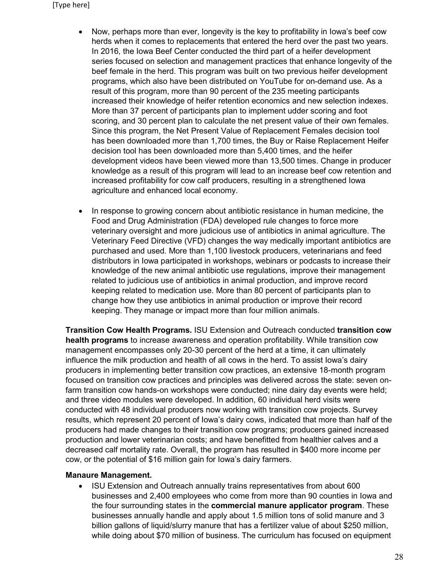- Now, perhaps more than ever, longevity is the key to profitability in Iowa's beef cow herds when it comes to replacements that entered the herd over the past two years. In 2016, the Iowa Beef Center conducted the third part of a heifer development series focused on selection and management practices that enhance longevity of the beef female in the herd. This program was built on two previous heifer development programs, which also have been distributed on YouTube for on-demand use. As a result of this program, more than 90 percent of the 235 meeting participants increased their knowledge of heifer retention economics and new selection indexes. More than 37 percent of participants plan to implement udder scoring and foot scoring, and 30 percent plan to calculate the net present value of their own females. Since this program, the Net Present Value of Replacement Females decision tool has been downloaded more than 1,700 times, the Buy or Raise Replacement Heifer decision tool has been downloaded more than 5,400 times, and the heifer development videos have been viewed more than 13,500 times. Change in producer knowledge as a result of this program will lead to an increase beef cow retention and increased profitability for cow calf producers, resulting in a strengthened Iowa agriculture and enhanced local economy.
- In response to growing concern about antibiotic resistance in human medicine, the Food and Drug Administration (FDA) developed rule changes to force more veterinary oversight and more judicious use of antibiotics in animal agriculture. The Veterinary Feed Directive (VFD) changes the way medically important antibiotics are purchased and used. More than 1,100 livestock producers, veterinarians and feed distributors in Iowa participated in workshops, webinars or podcasts to increase their knowledge of the new animal antibiotic use regulations, improve their management related to judicious use of antibiotics in animal production, and improve record keeping related to medication use. More than 80 percent of participants plan to change how they use antibiotics in animal production or improve their record keeping. They manage or impact more than four million animals.

**Transition Cow Health Programs.** ISU Extension and Outreach conducted **transition cow health programs** to increase awareness and operation profitability. While transition cow management encompasses only 20-30 percent of the herd at a time, it can ultimately influence the milk production and health of all cows in the herd. To assist Iowa's dairy producers in implementing better transition cow practices, an extensive 18-month program focused on transition cow practices and principles was delivered across the state: seven onfarm transition cow hands-on workshops were conducted; nine dairy day events were held; and three video modules were developed. In addition, 60 individual herd visits were conducted with 48 individual producers now working with transition cow projects. Survey results, which represent 20 percent of Iowa's dairy cows, indicated that more than half of the producers had made changes to their transition cow programs; producers gained increased production and lower veterinarian costs; and have benefitted from healthier calves and a decreased calf mortality rate. Overall, the program has resulted in \$400 more income per cow, or the potential of \$16 million gain for Iowa's dairy farmers.

## **Manaure Management.**

• ISU Extension and Outreach annually trains representatives from about 600 businesses and 2,400 employees who come from more than 90 counties in Iowa and the four surrounding states in the **commercial manure applicator program**. These businesses annually handle and apply about 1.5 million tons of solid manure and 3 billion gallons of liquid/slurry manure that has a fertilizer value of about \$250 million, while doing about \$70 million of business. The curriculum has focused on equipment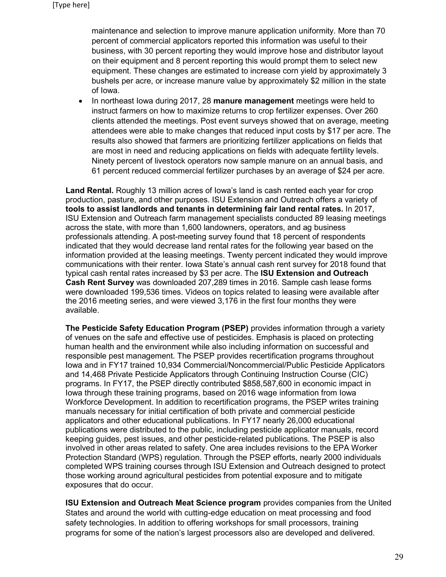maintenance and selection to improve manure application uniformity. More than 70 percent of commercial applicators reported this information was useful to their business, with 30 percent reporting they would improve hose and distributor layout on their equipment and 8 percent reporting this would prompt them to select new equipment. These changes are estimated to increase corn yield by approximately 3 bushels per acre, or increase manure value by approximately \$2 million in the state of Iowa.

• In northeast Iowa during 2017, 28 **manure management** meetings were held to instruct farmers on how to maximize returns to crop fertilizer expenses. Over 260 clients attended the meetings. Post event surveys showed that on average, meeting attendees were able to make changes that reduced input costs by \$17 per acre. The results also showed that farmers are prioritizing fertilizer applications on fields that are most in need and reducing applications on fields with adequate fertility levels. Ninety percent of livestock operators now sample manure on an annual basis, and 61 percent reduced commercial fertilizer purchases by an average of \$24 per acre.

**Land Rental.** Roughly 13 million acres of Iowa's land is cash rented each year for crop production, pasture, and other purposes. ISU Extension and Outreach offers a variety of **tools to assist landlords and tenants in determining fair land rental rates.** In 2017, ISU Extension and Outreach farm management specialists conducted 89 leasing meetings across the state, with more than 1,600 landowners, operators, and ag business professionals attending. A post-meeting survey found that 18 percent of respondents indicated that they would decrease land rental rates for the following year based on the information provided at the leasing meetings. Twenty percent indicated they would improve communications with their renter. Iowa State's annual cash rent survey for 2018 found that typical cash rental rates increased by \$3 per acre. The **[ISU Extension and Outreach](https://www.extension.iastate.edu/agdm/wholefarm/pdf/c2-10.pdf)  [Cash Rent Survey](https://www.extension.iastate.edu/agdm/wholefarm/pdf/c2-10.pdf)** was downloaded 207,289 times in 2016. Sample cash lease forms were downloaded 199,536 times. Videos on topics related to leasing were available after the 2016 meeting series, and were viewed 3,176 in the first four months they were available.

**The Pesticide Safety Education Program (PSEP)** provides information through a variety of venues on the safe and effective use of pesticides. Emphasis is placed on protecting human health and the environment while also including information on successful and responsible pest management. The PSEP provides recertification programs throughout Iowa and in FY17 trained 10,934 Commercial/Noncommercial/Public Pesticide Applicators and 14,468 Private Pesticide Applicators through Continuing Instruction Course (CIC) programs. In FY17, the PSEP directly contributed \$858,587,600 in economic impact in Iowa through these training programs, based on 2016 wage information from Iowa Workforce Development. In addition to recertification programs, the PSEP writes training manuals necessary for initial certification of both private and commercial pesticide applicators and other educational publications. In FY17 nearly 26,000 educational publications were distributed to the public, including pesticide applicator manuals, record keeping guides, pest issues, and other pesticide-related publications. The PSEP is also involved in other areas related to safety. One area includes revisions to the EPA Worker Protection Standard (WPS) regulation. Through the PSEP efforts, nearly 2000 individuals completed WPS training courses through ISU Extension and Outreach designed to protect those working around agricultural pesticides from potential exposure and to mitigate exposures that do occur.

**ISU Extension and Outreach Meat Science program** provides companies from the United States and around the world with cutting-edge education on meat processing and food safety technologies. In addition to offering workshops for small processors, training programs for some of the nation's largest processors also are developed and delivered.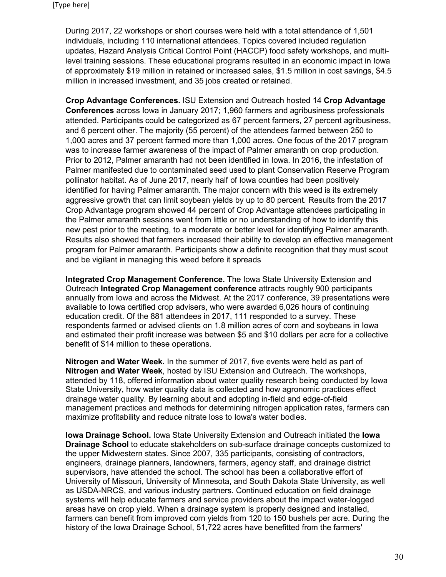During 2017, 22 workshops or short courses were held with a total attendance of 1,501 individuals, including 110 international attendees. Topics covered included regulation updates, Hazard Analysis Critical Control Point (HACCP) food safety workshops, and multilevel training sessions. These educational programs resulted in an economic impact in Iowa of approximately \$19 million in retained or increased sales, \$1.5 million in cost savings, \$4.5 million in increased investment, and 35 jobs created or retained.

**Crop Advantage Conferences.** ISU Extension and Outreach hosted 14 **Crop Advantage Conferences** across Iowa in January 2017; 1,960 farmers and agribusiness professionals attended. Participants could be categorized as 67 percent farmers, 27 percent agribusiness, and 6 percent other. The majority (55 percent) of the attendees farmed between 250 to 1,000 acres and 37 percent farmed more than 1,000 acres. One focus of the 2017 program was to increase farmer awareness of the impact of Palmer amaranth on crop production. Prior to 2012, Palmer amaranth had not been identified in Iowa. In 2016, the infestation of Palmer manifested due to contaminated seed used to plant Conservation Reserve Program pollinator habitat. As of June 2017, nearly half of Iowa counties had been positively identified for having Palmer amaranth. The major concern with this weed is its extremely aggressive growth that can limit soybean yields by up to 80 percent. Results from the 2017 Crop Advantage program showed 44 percent of Crop Advantage attendees participating in the Palmer amaranth sessions went from little or no understanding of how to identify this new pest prior to the meeting, to a moderate or better level for identifying Palmer amaranth. Results also showed that farmers increased their ability to develop an effective management program for Palmer amaranth. Participants show a definite recognition that they must scout and be vigilant in managing this weed before it spreads

**Integrated Crop Management Conference.** The Iowa State University Extension and Outreach **Integrated Crop Management conference** attracts roughly 900 participants annually from Iowa and across the Midwest. At the 2017 conference, 39 presentations were available to Iowa certified crop advisers, who were awarded 6,026 hours of continuing education credit. Of the 881 attendees in 2017, 111 responded to a survey. These respondents farmed or advised clients on 1.8 million acres of corn and soybeans in Iowa and estimated their profit increase was between \$5 and \$10 dollars per acre for a collective benefit of \$14 million to these operations.

**Nitrogen and Water Week.** In the summer of 2017, five events were held as part of **Nitrogen and Water Week**, hosted by ISU Extension and Outreach. The workshops, attended by 118, offered information about water quality research being conducted by Iowa State University, how water quality data is collected and how agronomic practices effect drainage water quality. By learning about and adopting in-field and edge-of-field management practices and methods for determining nitrogen application rates, farmers can maximize profitability and reduce nitrate loss to Iowa's water bodies.

**Iowa Drainage School.** Iowa State University Extension and Outreach initiated the **Iowa Drainage School** to educate stakeholders on sub-surface drainage concepts customized to the upper Midwestern states. Since 2007, 335 participants, consisting of contractors, engineers, drainage planners, landowners, farmers, agency staff, and drainage district supervisors, have attended the school. The school has been a collaborative effort of University of Missouri, University of Minnesota, and South Dakota State University, as well as USDA-NRCS, and various industry partners. Continued education on field drainage systems will help educate farmers and service providers about the impact water-logged areas have on crop yield. When a drainage system is properly designed and installed, farmers can benefit from improved corn yields from 120 to 150 bushels per acre. During the history of the Iowa Drainage School, 51,722 acres have benefitted from the farmers'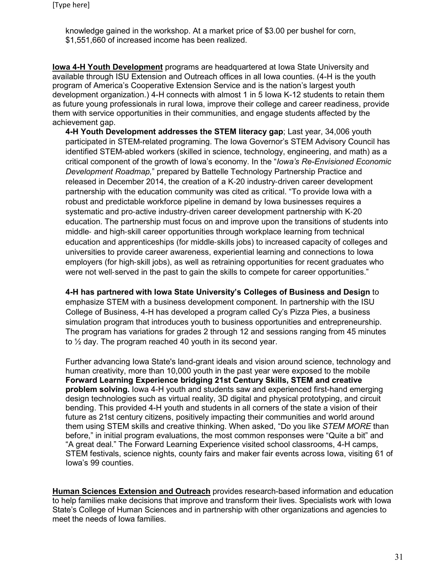knowledge gained in the workshop. At a market price of \$3.00 per bushel for corn, \$1,551,660 of increased income has been realized.

**Iowa 4-H Youth Development** programs are headquartered at Iowa State University and available through ISU Extension and Outreach offices in all Iowa counties. (4-H is the youth program of America's Cooperative Extension Service and is the nation's largest youth development organization.) 4-H connects with almost 1 in 5 Iowa K-12 students to retain them as future young professionals in rural Iowa, improve their college and career readiness, provide them with service opportunities in their communities, and engage students affected by the achievement gap.

**4-H Youth Development addresses the STEM literacy gap**; Last year, 34,006 youth participated in STEM-related programing. The Iowa Governor's STEM Advisory Council has identified STEM-abled workers (skilled in science, technology, engineering, and math) as a critical component of the growth of Iowa's economy. In the "*Iowa's Re-Envisioned Economic Development Roadmap,*" prepared by Battelle Technology Partnership Practice and released in December 2014, the creation of a K‐20 industry‐driven career development partnership with the education community was cited as critical. "To provide Iowa with a robust and predictable workforce pipeline in demand by Iowa businesses requires a systematic and pro‐active industry‐driven career development partnership with K‐20 education. The partnership must focus on and improve upon the transitions of students into middle‐ and high‐skill career opportunities through workplace learning from technical education and apprenticeships (for middle‐skills jobs) to increased capacity of colleges and universities to provide career awareness, experiential learning and connections to Iowa employers (for high‐skill jobs), as well as retraining opportunities for recent graduates who were not well-served in the past to gain the skills to compete for career opportunities."

**4-H has partnered with Iowa State University's Colleges of Business and Design** to emphasize STEM with a business development component. In partnership with the ISU College of Business, 4-H has developed a program called Cy's Pizza Pies, a business simulation program that introduces youth to business opportunities and entrepreneurship. The program has variations for grades 2 through 12 and sessions ranging from 45 minutes to ½ day. The program reached 40 youth in its second year.

Further advancing Iowa State's land-grant ideals and vision around science, technology and human creativity, more than 10,000 youth in the past year were exposed to the mobile **Forward Learning Experience bridging 21st Century Skills, STEM and creative problem solving.** Iowa 4-H youth and students saw and experienced first-hand emerging design technologies such as virtual reality, 3D digital and physical prototyping, and circuit bending. This provided 4-H youth and students in all corners of the state a vision of their future as 21st century citizens, positively impacting their communities and world around them using STEM skills and creative thinking. When asked, "Do you like *STEM MORE* than before," in initial program evaluations, the most common responses were "Quite a bit" and "A great deal." The Forward Learning Experience visited school classrooms, 4-H camps, STEM festivals, science nights, county fairs and maker fair events across Iowa, visiting 61 of Iowa's 99 counties.

**Human Sciences Extension and Outreach** provides research-based information and education to help families make decisions that improve and transform their lives. Specialists work with Iowa State's College of Human Sciences and in partnership with other organizations and agencies to meet the needs of Iowa families.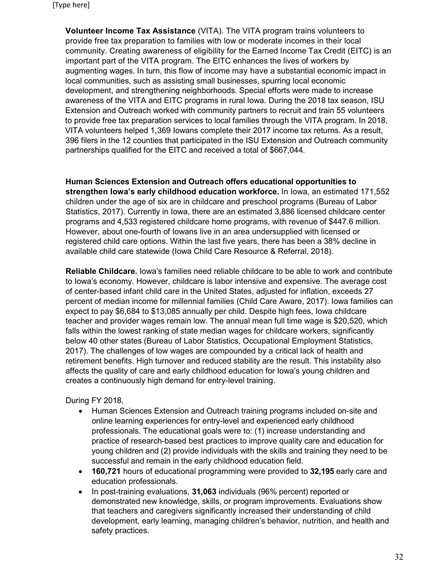**Volunteer Income Tax Assistance** (VITA). The VITA program trains volunteers to provide free tax preparation to families with low or moderate incomes in their local community. Creating awareness of eligibility for the Earned Income Tax Credit (EITC) is an important part of the VITA program. The EITC enhances the lives of workers by augmenting wages. In turn, this flow of income may have a substantial economic impact in local communities, such as assisting small businesses, spurring local economic development, and strengthening neighborhoods. Special efforts were made to increase awareness of the VITA and EITC programs in rural Iowa. During the 2018 tax season, ISU Extension and Outreach worked with community partners to recruit and train 55 volunteers to provide free tax preparation services to local families through the VITA program. In 2018, VITA volunteers helped 1,369 Iowans complete their 2017 income tax returns. As a result, 396 filers in the 12 counties that participated in the ISU Extension and Outreach community partnerships qualified for the EITC and received a total of \$667,044.

**Human Sciences Extension and Outreach offers educational opportunities to strengthen Iowa's early childhood education workforce.** In Iowa, an estimated 171,552 children under the age of six are in childcare and preschool programs (Bureau of Labor Statistics, 2017). Currently in Iowa, there are an estimated 3,886 licensed childcare center programs and 4,533 registered childcare home programs, with revenue of \$447.6 million. However, about one-fourth of Iowans live in an area undersupplied with licensed or registered child care options. Within the last five years, there has been a 38% decline in available child care statewide (Iowa Child Care Resource & Referral, 2018).

**Reliable Childcare.** Iowa's families need reliable childcare to be able to work and contribute to Iowa's economy. However, childcare is labor intensive and expensive. The average cost of center-based infant child care in the United States, adjusted for inflation, exceeds 27 percent of median income for millennial families (Child Care Aware, 2017). Iowa families can expect to pay \$6,684 to \$13,085 annually per child. Despite high fees, Iowa childcare teacher and provider wages remain low. The annual mean full time wage is \$20,520, which falls within the lowest ranking of state median wages for childcare workers, significantly below 40 other states (Bureau of Labor Statistics, Occupational Employment Statistics, 2017). The challenges of low wages are compounded by a critical lack of health and retirement benefits. High turnover and reduced stability are the result. This instability also affects the quality of care and early childhood education for Iowa's young children and creates a continuously high demand for entry-level training.

During FY 2018,

- Human Sciences Extension and Outreach training programs included on-site and online learning experiences for entry-level and experienced early childhood professionals. The educational goals were to: (1) increase understanding and practice of research-based best practices to improve quality care and education for young children and (2) provide individuals with the skills and training they need to be successful and remain in the early childhood education field.
- **160,721** hours of educational programming were provided to **32,195** early care and education professionals.
- In post-training evaluations, **31,063** individuals (96% percent) reported or demonstrated new knowledge, skills, or program improvements. Evaluations show that teachers and caregivers significantly increased their understanding of child development, early learning, managing children's behavior, nutrition, and health and safety practices.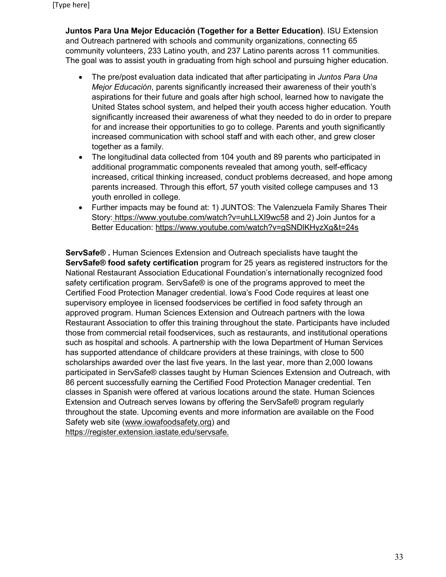**Juntos Para Una Mejor Educación (Together for a Better Education)**. ISU Extension and Outreach partnered with schools and community organizations, connecting 65 community volunteers, 233 Latino youth, and 237 Latino parents across 11 communities. The goal was to assist youth in graduating from high school and pursuing higher education.

- The pre/post evaluation data indicated that after participating in *Juntos Para Una Mejor Educación*, parents significantly increased their awareness of their youth's aspirations for their future and goals after high school, learned how to navigate the United States school system, and helped their youth access higher education. Youth significantly increased their awareness of what they needed to do in order to prepare for and increase their opportunities to go to college. Parents and youth significantly increased communication with school staff and with each other, and grew closer together as a family.
- The longitudinal data collected from 104 youth and 89 parents who participated in additional programmatic components revealed that among youth, self-efficacy increased, critical thinking increased, conduct problems decreased, and hope among parents increased. Through this effort, 57 youth visited college campuses and 13 youth enrolled in college.
- Further impacts may be found at: 1) JUNTOS: The Valenzuela Family Shares Their Story: <https://www.youtube.com/watch?v=uhLLXI9wc58> and 2) Join Juntos for a Better Education:<https://www.youtube.com/watch?v=gSNDlKHyzXg&t=24s>

**ServSafe® .** Human Sciences Extension and Outreach specialists have taught the **ServSafe® food safety certification** program for 25 years as registered instructors for the National Restaurant Association Educational Foundation's internationally recognized food safety certification program. ServSafe® is one of the programs approved to meet the Certified Food Protection Manager credential. Iowa's Food Code requires at least one supervisory employee in licensed foodservices be certified in food safety through an approved program. Human Sciences Extension and Outreach partners with the Iowa Restaurant Association to offer this training throughout the state. Participants have included those from commercial retail foodservices, such as restaurants, and institutional operations such as hospital and schools. A partnership with the Iowa Department of Human Services has supported attendance of childcare providers at these trainings, with close to 500 scholarships awarded over the last five years. In the last year, more than 2,000 Iowans participated in ServSafe® classes taught by Human Sciences Extension and Outreach, with 86 percent successfully earning the Certified Food Protection Manager credential. Ten classes in Spanish were offered at various locations around the state. Human Sciences Extension and Outreach serves Iowans by offering the ServSafe® program regularly throughout the state. Upcoming events and more information are available on the Food Safety web site [\(www.iowafoodsafety.org\)](http://www.iowafoodsafety.org/) and [https://register.extension.iastate.edu/servsafe.](https://register.extension.iastate.edu/servsafe)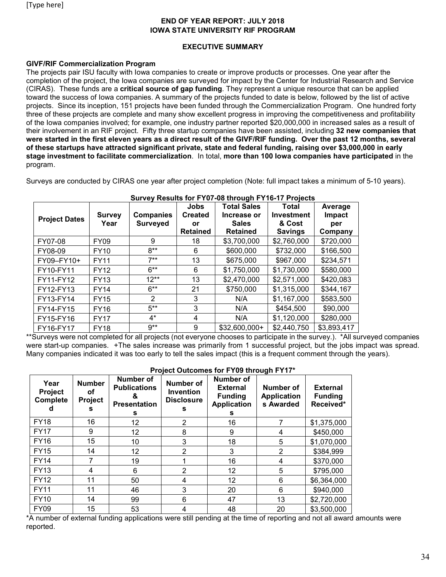## **END OF YEAR REPORT: JULY 2018 IOWA STATE UNIVERSITY RIF PROGRAM**

## **EXECUTIVE SUMMARY**

## **GIVF/RIF Commercialization Program**

The projects pair ISU faculty with Iowa companies to create or improve products or processes. One year after the completion of the project, the Iowa companies are surveyed for impact by the Center for Industrial Research and Service (CIRAS). These funds are a **critical source of gap funding**. They represent a unique resource that can be applied toward the success of Iowa companies. A summary of the projects funded to date is below, followed by the list of active projects. Since its inception, 151 projects have been funded through the Commercialization Program. One hundred forty three of these projects are complete and many show excellent progress in improving the competitiveness and profitability of the Iowa companies involved; for example, one industry partner reported \$20,000,000 in increased sales as a result of their involvement in an RIF project. Fifty three startup companies have been assisted, including **32 new companies that were started in the first eleven years as a direct result of the GIVF/RIF funding. Over the past 12 months, several of these startups have attracted significant private, state and federal funding, raising over \$3,000,000 in early stage investment to facilitate commercialization**. In total, **more than 100 Iowa companies have participated** in the program.

Surveys are conducted by CIRAS one year after project completion (Note: full impact takes a minimum of 5-10 years).

| <b>Project Dates</b> | <b>Survey</b><br>Year | <b>Companies</b><br><b>Surveyed</b> | Jobs<br><b>Created</b><br>or<br><b>Retained</b> | <b>Total Sales</b><br>Increase or<br><b>Sales</b><br><b>Retained</b> | Total<br><b>Investment</b><br>& Cost<br><b>Savings</b> | Average<br>Impact<br>per<br>Company |
|----------------------|-----------------------|-------------------------------------|-------------------------------------------------|----------------------------------------------------------------------|--------------------------------------------------------|-------------------------------------|
| FY07-08              | <b>FY09</b>           | 9                                   | 18                                              | \$3,700,000                                                          | \$2,760,000                                            | \$720,000                           |
| FY08-09              | <b>FY10</b>           | $8**$                               | 6                                               | \$600,000                                                            | \$732,000                                              | \$166,500                           |
| FY09-FY10+           | <b>FY11</b>           | $7**$                               | 13                                              | \$675,000                                                            | \$967,000                                              | \$234,571                           |
| FY10-FY11            | <b>FY12</b>           | $6***$                              | 6                                               | \$1,750,000                                                          | \$1,730,000                                            | \$580,000                           |
| FY11-FY12            | <b>FY13</b>           | $12**$                              | 13                                              | \$2,470,000                                                          | \$2,571,000                                            | \$420,083                           |
| FY12-FY13            | <b>FY14</b>           | $6***$                              | 21                                              | \$750,000                                                            | \$1,315,000                                            | \$344,167                           |
| FY13-FY14            | <b>FY15</b>           | 2                                   | 3                                               | N/A                                                                  | \$1,167,000                                            | \$583,500                           |
| FY14-FY15            | <b>FY16</b>           | $5***$                              | 3                                               | N/A                                                                  | \$454,500                                              | \$90,000                            |
| FY15-FY16            | <b>FY17</b>           | $4^*$                               | 4                                               | N/A                                                                  | \$1,120,000                                            | \$280,000                           |
| FY16-FY17            | <b>FY18</b>           | $9**$                               | 9                                               | $$32,600,000+$                                                       | \$2,440,750                                            | \$3,893,417                         |

**Survey Results for FY07-08 through FY16-17 Projects**

\*\*Surveys were not completed for all projects (not everyone chooses to participate in the survey.). \*All surveyed companies were start-up companies. +The sales increase was primarily from 1 successful project, but the jobs impact was spread. Many companies indicated it was too early to tell the sales impact (this is a frequent comment through the years).

| Year<br><b>Project</b><br><b>Complete</b> | <b>Number</b><br>οf<br><b>Project</b><br>s | Number of<br><b>Publications</b><br><b>Presentation</b><br>s | <b>Number of</b><br><b>Invention</b><br><b>Disclosure</b><br>s | <b>Number of</b><br><b>External</b><br><b>Funding</b><br><b>Application</b><br>s | <b>Number of</b><br><b>Application</b><br>s Awarded | <b>External</b><br><b>Funding</b><br>Received* |
|-------------------------------------------|--------------------------------------------|--------------------------------------------------------------|----------------------------------------------------------------|----------------------------------------------------------------------------------|-----------------------------------------------------|------------------------------------------------|
| <b>FY18</b>                               | 16                                         | 12                                                           | $\overline{2}$                                                 | 16                                                                               | 7                                                   | \$1,375,000                                    |
| <b>FY17</b>                               | 9                                          | 12                                                           | 8                                                              | 9                                                                                | 4                                                   | \$450,000                                      |
| <b>FY16</b>                               | 15                                         | 10                                                           | 3                                                              | 18                                                                               | 5                                                   | \$1,070,000                                    |
| <b>FY15</b>                               | 14                                         | 12                                                           | $\overline{2}$                                                 | 3                                                                                | 2                                                   | \$384,999                                      |
| <b>FY14</b>                               | 7                                          | 19                                                           |                                                                | 16                                                                               | 4                                                   | \$370,000                                      |
| <b>FY13</b>                               | 4                                          | 6                                                            | 2                                                              | 12                                                                               | 5                                                   | \$795,000                                      |
| <b>FY12</b>                               | 11                                         | 50                                                           | 4                                                              | 12                                                                               | 6                                                   | \$6,364,000                                    |
| <b>FY11</b>                               | 11                                         | 46                                                           | 3                                                              | 20                                                                               | 6                                                   | \$940,000                                      |
| <b>FY10</b>                               | 14                                         | 99                                                           | 6                                                              | 47                                                                               | 13                                                  | \$2,720,000                                    |
| <b>FY09</b>                               | 15                                         | 53                                                           | 4                                                              | 48                                                                               | 20                                                  | \$3,500,000                                    |

## **Project Outcomes for FY09 through FY17\***

\*A number of external funding applications were still pending at the time of reporting and not all award amounts were reported.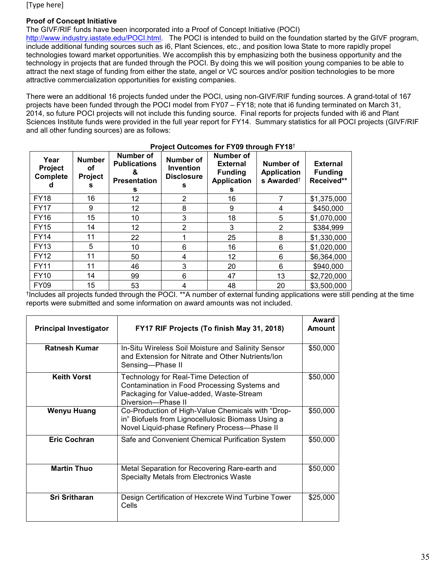## **Proof of Concept Initiative**

The GIVF/RIF funds have been incorporated into a Proof of Concept Initiative (POCI)

[http://www.industry.iastate.edu/POCI.html.](http://www.industry.iastate.edu/POCI.html) The POCI is intended to build on the foundation started by the GIVF program, include additional funding sources such as i6, Plant Sciences, etc., and position Iowa State to more rapidly propel technologies toward market opportunities. We accomplish this by emphasizing both the business opportunity and the technology in projects that are funded through the POCI. By doing this we will position young companies to be able to attract the next stage of funding from either the state, angel or VC sources and/or position technologies to be more attractive commercialization opportunities for existing companies.

There were an additional 16 projects funded under the POCI, using non-GIVF/RIF funding sources. A grand-total of 167 projects have been funded through the POCI model from FY07 – FY18; note that i6 funding terminated on March 31, 2014, so future POCI projects will not include this funding source. Final reports for projects funded with i6 and Plant Sciences Institute funds were provided in the full year report for FY14. Summary statistics for all POCI projects (GIVF/RIF and all other funding sources) are as follows:

| Year<br>Project<br><b>Complete</b> | <b>Number</b><br>οf<br>Project<br>s | Number of<br><b>Publications</b><br>&<br><b>Presentation</b><br>s | <b>Number of</b><br><b>Invention</b><br><b>Disclosure</b><br>s | <b>Number of</b><br><b>External</b><br><b>Funding</b><br><b>Application</b><br>s | Number of<br><b>Application</b><br>s Awarded <sup>+</sup> | <b>External</b><br><b>Funding</b><br>Received** |
|------------------------------------|-------------------------------------|-------------------------------------------------------------------|----------------------------------------------------------------|----------------------------------------------------------------------------------|-----------------------------------------------------------|-------------------------------------------------|
| <b>FY18</b>                        | 16                                  | 12                                                                | $\overline{2}$                                                 | 16                                                                               |                                                           | \$1,375,000                                     |
| <b>FY17</b>                        | 9                                   | 12                                                                | 8                                                              | 9                                                                                | 4                                                         | \$450,000                                       |
| <b>FY16</b>                        | 15                                  | 10                                                                | 3                                                              | 18                                                                               | 5                                                         | \$1,070,000                                     |
| <b>FY15</b>                        | 14                                  | 12                                                                | $\overline{2}$                                                 | 3                                                                                | $\overline{2}$                                            | \$384,999                                       |
| <b>FY14</b>                        | 11                                  | 22                                                                |                                                                | 25                                                                               | 8                                                         | \$1,330,000                                     |
| <b>FY13</b>                        | 5                                   | 10                                                                | 6                                                              | 16                                                                               | 6                                                         | \$1,020,000                                     |
| <b>FY12</b>                        | 11                                  | 50                                                                | 4                                                              | 12                                                                               | 6                                                         | \$6,364,000                                     |
| <b>FY11</b>                        | 11                                  | 46                                                                | 3                                                              | 20                                                                               | 6                                                         | \$940,000                                       |
| <b>FY10</b>                        | 14                                  | 99                                                                | 6                                                              | 47                                                                               | 13                                                        | \$2,720,000                                     |
| <b>FY09</b>                        | 15                                  | 53                                                                |                                                                | 48                                                                               | 20                                                        | \$3,500,000                                     |

#### **Project Outcomes for FY09 through FY18**†

†Includes all projects funded through the POCI. \*\*A number of external funding applications were still pending at the time reports were submitted and some information on award amounts was not included.

| <b>Principal Investigator</b> | FY17 RIF Projects (To finish May 31, 2018)                                                                                                             | Award<br><b>Amount</b> |
|-------------------------------|--------------------------------------------------------------------------------------------------------------------------------------------------------|------------------------|
| <b>Ratnesh Kumar</b>          | In-Situ Wireless Soil Moisture and Salinity Sensor<br>and Extension for Nitrate and Other Nutrients/Ion<br>Sensing-Phase II                            | \$50,000               |
| <b>Keith Vorst</b>            | Technology for Real-Time Detection of<br>Contamination in Food Processing Systems and<br>Packaging for Value-added, Waste-Stream<br>Diversion-Phase II | \$50,000               |
| <b>Wenyu Huang</b>            | Co-Production of High-Value Chemicals with "Drop-<br>in" Biofuels from Lignocellulosic Biomass Using a<br>Novel Liquid-phase Refinery Process-Phase II | \$50,000               |
| <b>Eric Cochran</b>           | Safe and Convenient Chemical Purification System                                                                                                       | \$50,000               |
| <b>Martin Thuo</b>            | Metal Separation for Recovering Rare-earth and<br><b>Specialty Metals from Electronics Waste</b>                                                       | \$50,000               |
| <b>Sri Sritharan</b>          | Design Certification of Hexcrete Wind Turbine Tower<br>Cells                                                                                           | \$25,000               |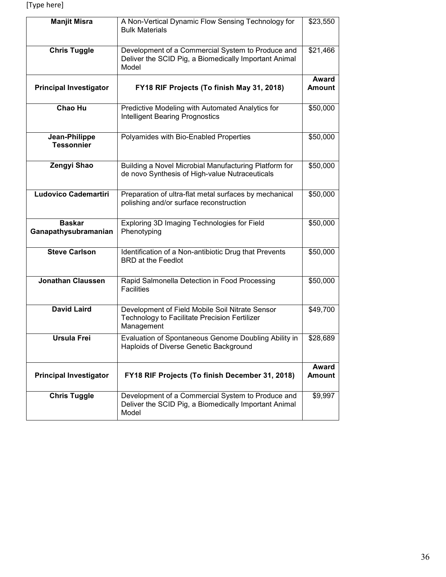| <b>Manjit Misra</b>                   | A Non-Vertical Dynamic Flow Sensing Technology for<br><b>Bulk Materials</b>                                         | \$23,550               |
|---------------------------------------|---------------------------------------------------------------------------------------------------------------------|------------------------|
| <b>Chris Tuggle</b>                   | Development of a Commercial System to Produce and<br>Deliver the SCID Pig, a Biomedically Important Animal<br>Model | \$21,466               |
| <b>Principal Investigator</b>         | FY18 RIF Projects (To finish May 31, 2018)                                                                          | Award<br><b>Amount</b> |
| Chao Hu                               | Predictive Modeling with Automated Analytics for<br><b>Intelligent Bearing Prognostics</b>                          | \$50,000               |
| Jean-Philippe<br><b>Tessonnier</b>    | Polyamides with Bio-Enabled Properties                                                                              | \$50,000               |
| Zengyi Shao                           | Building a Novel Microbial Manufacturing Platform for<br>de novo Synthesis of High-value Nutraceuticals             | \$50,000               |
| <b>Ludovico Cademartiri</b>           | Preparation of ultra-flat metal surfaces by mechanical<br>polishing and/or surface reconstruction                   | \$50,000               |
| <b>Baskar</b><br>Ganapathysubramanian | Exploring 3D Imaging Technologies for Field<br>Phenotyping                                                          | \$50,000               |
| <b>Steve Carlson</b>                  | Identification of a Non-antibiotic Drug that Prevents<br><b>BRD</b> at the Feedlot                                  | \$50,000               |
| <b>Jonathan Claussen</b>              | Rapid Salmonella Detection in Food Processing<br><b>Facilities</b>                                                  | \$50,000               |
| <b>David Laird</b>                    | Development of Field Mobile Soil Nitrate Sensor<br>Technology to Facilitate Precision Fertilizer<br>Management      | \$49,700               |
| Ursula Frei                           | Evaluation of Spontaneous Genome Doubling Ability in<br>Haploids of Diverse Genetic Background                      | \$28,689               |
| <b>Principal Investigator</b>         | FY18 RIF Projects (To finish December 31, 2018)                                                                     | Award<br><b>Amount</b> |
| <b>Chris Tuggle</b>                   | Development of a Commercial System to Produce and<br>Deliver the SCID Pig, a Biomedically Important Animal<br>Model | \$9,997                |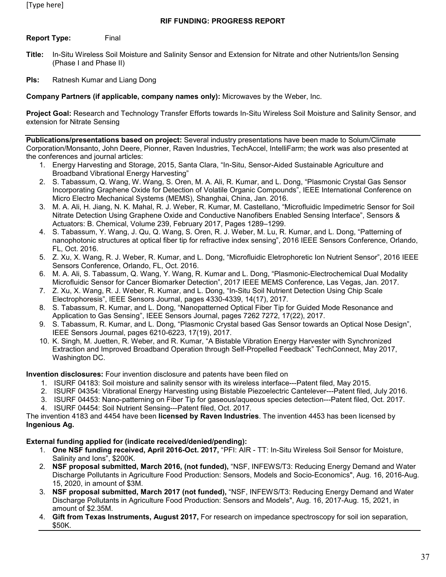**Report Type:** Final

- **Title:** In-Situ Wireless Soil Moisture and Salinity Sensor and Extension for Nitrate and other Nutrients/Ion Sensing (Phase I and Phase II)
- **PIs:** Ratnesh Kumar and Liang Dong

**Company Partners (if applicable, company names only):** Microwaves by the Weber, Inc.

**Project Goal:** Research and Technology Transfer Efforts towards In-Situ Wireless Soil Moisture and Salinity Sensor, and extension for Nitrate Sensing

**Publications/presentations based on project:** Several industry presentations have been made to Solum/Climate Corporation/Monsanto, John Deere, Pionner, Raven Industries, TechAccel, IntelliFarm; the work was also presented at the conferences and journal articles:

- 1. Energy Harvesting and Storage, 2015, Santa Clara, "In-Situ, Sensor-Aided Sustainable Agriculture and Broadband Vibrational Energy Harvesting"
- 2. S. Tabassum, Q. Wang, W. Wang, S. Oren, M. A. Ali, R. Kumar, and L. Dong, "Plasmonic Crystal Gas Sensor Incorporating Graphene Oxide for Detection of Volatile Organic Compounds", IEEE International Conference on Micro Electro Mechanical Systems (MEMS), Shanghai, China, Jan. 2016.
- 3. M. A. Ali, H. Jiang, N. K. Mahal, R. J. Weber, R. Kumar, M. Castellano, "Microfluidic Impedimetric Sensor for Soil Nitrate Detection Using Graphene Oxide and Conductive Nanofibers Enabled Sensing Interface", Sensors & Actuators: B. Chemical, Volume 239, February 2017, Pages 1289–1299.
- 4. S. Tabassum, Y. Wang, J. Qu, Q. Wang, S. Oren, R. J. Weber, M. Lu, R. Kumar, and L. Dong, "Patterning of nanophotonic structures at optical fiber tip for refractive index sensing", 2016 IEEE Sensors Conference, Orlando, FL, Oct. 2016.
- 5. Z. Xu, X. Wang, R. J. Weber, R. Kumar, and L. Dong, "Microfluidic Eletrophoretic Ion Nutrient Sensor", 2016 IEEE Sensors Conference, Orlando, FL, Oct. 2016.
- 6. M. A. Ali, S. Tabassum, Q. Wang, Y. Wang, R. Kumar and L. Dong, "Plasmonic-Electrochemical Dual Modality Microfluidic Sensor for Cancer Biomarker Detection", 2017 IEEE MEMS Conference, Las Vegas, Jan. 2017.
- 7. Z. Xu, X. Wang, R. J. Weber, R. Kumar, and L. Dong, "In-Situ Soil Nutrient Detection Using Chip Scale Electrophoresis", IEEE Sensors Journal, pages 4330-4339, 14(17), 2017.
- 8. S. Tabassum, R. Kumar, and L. Dong, "Nanopatterned Optical Fiber Tip for Guided Mode Resonance and Application to Gas Sensing", IEEE Sensors Journal, pages 7262 7272, 17(22), 2017.
- 9. S. Tabassum, R. Kumar, and L. Dong, "Plasmonic Crystal based Gas Sensor towards an Optical Nose Design", IEEE Sensors Journal, pages 6210-6223, 17(19), 2017.
- 10. K. Singh, M. Juetten, R. Weber, and R. Kumar, "A Bistable Vibration Energy Harvester with Synchronized Extraction and Improved Broadband Operation through Self-Propelled Feedback" TechConnect, May 2017, Washington DC.

**Invention disclosures:** Four invention disclosure and patents have been filed on

- 1. ISURF 04183: Soil moisture and salinity sensor with its wireless interface---Patent filed, May 2015.
- 2. ISURF 04354: Vibrational Energy Harvesting using Bistable Piezoelectric Cantelever---Patent filed, July 2016.
- 3. ISURF 04453: Nano-patterning on Fiber Tip for gaseous/aqueous species detection---Patent filed, Oct. 2017.
- 4. ISURF 04454: Soil Nutrient Sensing---Patent filed, Oct. 2017.

The invention 4183 and 4454 have been **licensed by Raven Industries**. The invention 4453 has been licensed by **Ingenious Ag.**

## **External funding applied for (indicate received/denied/pending):**

- 1. **One NSF funding received, April 2016-Oct. 2017,** "PFI: AIR TT: In-Situ Wireless Soil Sensor for Moisture, Salinity and Ions", \$200K.
- 2. **NSF proposal submitted, March 2016, (not funded),** "NSF, INFEWS/T3: Reducing Energy Demand and Water Discharge Pollutants in Agriculture Food Production: Sensors, Models and Socio-Economics", Aug. 16, 2016-Aug. 15, 2020, in amount of \$3M.
- 3. **NSF proposal submitted, March 2017 (not funded),** "NSF, INFEWS/T3: Reducing Energy Demand and Water Discharge Pollutants in Agriculture Food Production: Sensors and Models", Aug. 16, 2017-Aug. 15, 2021, in amount of \$2.35M.
- 4. **Gift from Texas Instruments, August 2017,** For research on impedance spectroscopy for soil ion separation, \$50K.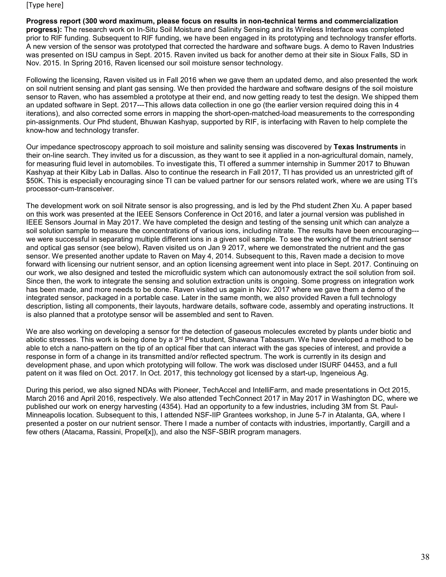**Progress report (300 word maximum, please focus on results in non-technical terms and commercialization progress):** The research work on In-Situ Soil Moisture and Salinity Sensing and its Wireless Interface was completed prior to RIF funding. Subsequent to RIF funding, we have been engaged in its prototyping and technology transfer efforts. A new version of the sensor was prototyped that corrected the hardware and software bugs. A demo to Raven Industries was presented on ISU campus in Sept. 2015. Raven invited us back for another demo at their site in Sioux Falls, SD in Nov. 2015. In Spring 2016, Raven licensed our soil moisture sensor technology.

Following the licensing, Raven visited us in Fall 2016 when we gave them an updated demo, and also presented the work on soil nutrient sensing and plant gas sensing. We then provided the hardware and software designs of the soil moisture sensor to Raven, who has assembled a prototype at their end, and now getting ready to test the design. We shipped them an updated software in Sept. 2017---This allows data collection in one go (the earlier version required doing this in 4 iterations), and also corrected some errors in mapping the short-open-matched-load measurements to the corresponding pin-assignments. Our Phd student, Bhuwan Kashyap, supported by RIF, is interfacing with Raven to help complete the know-how and technology transfer.

Our impedance spectroscopy approach to soil moisture and salinity sensing was discovered by **Texas Instruments** in their on-line search. They invited us for a discussion, as they want to see it applied in a non-agricultural domain, namely, for measuring fluid level in automobiles. To investigate this, TI offered a summer internship in Summer 2017 to Bhuwan Kashyap at their Kilby Lab in Dallas. Also to continue the research in Fall 2017, TI has provided us an unrestricted gift of \$50K. This is especially encouraging since TI can be valued partner for our sensors related work, where we are using TI's processor-cum-transceiver.

The development work on soil Nitrate sensor is also progressing, and is led by the Phd student Zhen Xu. A paper based on this work was presented at the IEEE Sensors Conference in Oct 2016, and later a journal version was published in IEEE Sensors Journal in May 2017. We have completed the design and testing of the sensing unit which can analyze a soil solution sample to measure the concentrations of various ions, including nitrate. The results have been encouraging-- we were successful in separating multiple different ions in a given soil sample. To see the working of the nutrient sensor and optical gas sensor (see below), Raven visited us on Jan 9 2017, where we demonstrated the nutrient and the gas sensor. We presented another update to Raven on May 4, 2014. Subsequent to this, Raven made a decision to move forward with licensing our nutrient sensor, and an option licensing agreement went into place in Sept. 2017. Continuing on our work, we also designed and tested the microfluidic system which can autonomously extract the soil solution from soil. Since then, the work to integrate the sensing and solution extraction units is ongoing. Some progress on integration work has been made, and more needs to be done. Raven visited us again in Nov. 2017 where we gave them a demo of the integrated sensor, packaged in a portable case. Later in the same month, we also provided Raven a full technology description, listing all components, their layouts, hardware details, software code, assembly and operating instructions. It is also planned that a prototype sensor will be assembled and sent to Raven.

We are also working on developing a sensor for the detection of gaseous molecules excreted by plants under biotic and abiotic stresses. This work is being done by a 3<sup>rd</sup> Phd student, Shawana Tabassum. We have developed a method to be able to etch a nano-pattern on the tip of an optical fiber that can interact with the gas species of interest, and provide a response in form of a change in its transmitted and/or reflected spectrum. The work is currently in its design and development phase, and upon which prototyping will follow. The work was disclosed under ISURF 04453, and a full patent on it was filed on Oct. 2017. In Oct. 2017, this technology got licensed by a start-up, Ingeneious Ag.

During this period, we also signed NDAs with Pioneer, TechAccel and IntelliFarm, and made presentations in Oct 2015, March 2016 and April 2016, respectively. We also attended TechConnect 2017 in May 2017 in Washington DC, where we published our work on energy harvesting (4354). Had an opportunity to a few industries, including 3M from St. Paul-Minneapolis location. Subsequent to this, I attended NSF-IIP Grantees workshop, in June 5-7 in Atalanta, GA, where I presented a poster on our nutrient sensor. There I made a number of contacts with industries, importantly, Cargill and a few others (Atacama, Rassini, Propel[x]), and also the NSF-SBIR program managers.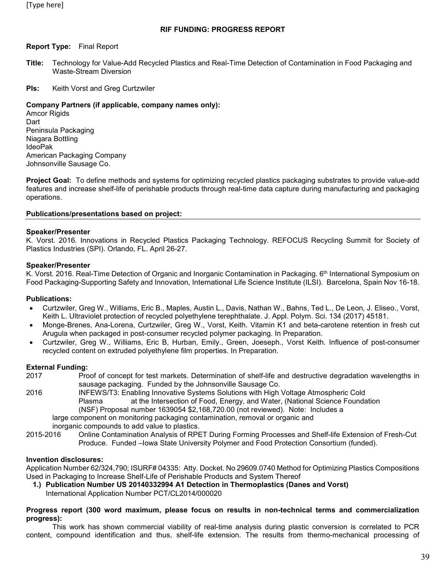### **Report Type:** Final Report

- **Title:** Technology for Value-Add Recycled Plastics and Real-Time Detection of Contamination in Food Packaging and Waste-Stream Diversion
- **PIs:** Keith Vorst and Greg Curtzwiler

### **Company Partners (if applicable, company names only):**

**Amcor Rigids** Dart Peninsula Packaging Niagara Bottling IdeoPak American Packaging Company Johnsonville Sausage Co.

**Project Goal:** To define methods and systems for optimizing recycled plastics packaging substrates to provide value-add features and increase shelf-life of perishable products through real-time data capture during manufacturing and packaging operations.

### **Publications/presentations based on project:**

#### **Speaker/Presenter**

K. Vorst. 2016. Innovations in Recycled Plastics Packaging Technology. REFOCUS Recycling Summit for Society of Plastics Industries (SPI). Orlando, FL. April 26-27.

#### **Speaker/Presenter**

K. Vorst. 2016. Real-Time Detection of Organic and Inorganic Contamination in Packaging. 6th International Symposium on Food Packaging-Supporting Safety and Innovation, International Life Science Institute (ILSI). Barcelona, Spain Nov 16-18.

#### **Publications:**

- Curtzwiler, Greg W., Williams, Eric B., Maples, Austin L., Davis, Nathan W., Bahns, Ted L., De Leon, J. Eliseo., Vorst, Keith L. Ultraviolet protection of recycled polyethylene terephthalate. J. Appl. Polym. Sci. 134 (2017) 45181.
- Monge-Brenes, Ana-Lorena, Curtzwiler, Greg W., Vorst, Keith. Vitamin K1 and beta-carotene retention in fresh cut Arugula when packaged in post-consumer recycled polymer packaging. In Preparation.
- Curtzwiler, Greg W., Williams, Eric B, Hurban, Emily., Green, Joeseph., Vorst Keith. Influence of post-consumer recycled content on extruded polyethylene film properties. In Preparation.

#### **External Funding:**

- 2017 Proof of concept for test markets. Determination of shelf-life and destructive degradation wavelengths in sausage packaging. Funded by the Johnsonville Sausage Co.
- 2016 INFEWS/T3: Enabling Innovative Systems Solutions with High Voltage Atmospheric Cold Plasma at the Intersection of Food, Energy, and Water, (National Science Foundation (NSF) Proposal number 1639054 \$2,168,720.00 (not reviewed). Note: Includes a large component on monitoring packaging contamination, removal or organic and

inorganic compounds to add value to plastics.

2015-2016 Online Contamination Analysis of RPET During Forming Processes and Shelf-life Extension of Fresh-Cut Produce. Funded –Iowa State University Polymer and Food Protection Consortium (funded).

#### **Invention disclosures:**

Application Number 62/324,790; ISURF# 04335: Atty. Docket. No 29609.0740 Method for Optimizing Plastics Compositions Used in Packaging to Increase Shelf-Life of Perishable Products and System Thereof

**1.) Publication Number US 20140332994 A1 Detection in Thermoplastics (Danes and Vorst)** International Application Number PCT/CL2014/000020

#### **Progress report (300 word maximum, please focus on results in non-technical terms and commercialization progress):**

This work has shown commercial viability of real-time analysis during plastic conversion is correlated to PCR content, compound identification and thus, shelf-life extension. The results from thermo-mechanical processing of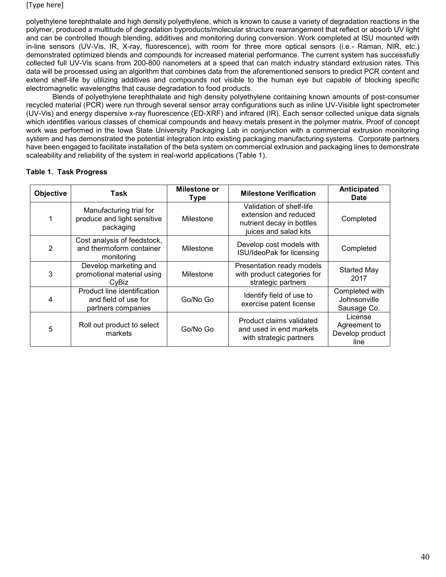polyethylene terephthalate and high density polyethylene, which is known to cause a variety of degradation reactions in the polymer, produced a multitude of degradation byproducts/molecular structure rearrangement that reflect or absorb UV light and can be controlled though blending, additives and monitoring during conversion. Work completed at ISU mounted with in-line sensors (UV-Vis, IR, X-ray, fluorescence), with room for three more optical sensors (i.e.- Raman, NIR, etc.) demonstrated optimized blends and compounds for increased material performance. The current system has successfully collected full UV-Vis scans from 200-800 nanometers at a speed that can match industry standard extrusion rates. This data will be processed using an algorithm that combines data from the aforementioned sensors to predict PCR content and extend shelf-life by utilizing additives and compounds not visible to the human eye but capable of blocking specific electromagnetic wavelengths that cause degradation to food products.

Blends of polyethylene terephthalate and high density polyethylene containing known amounts of post-consumer recycled material (PCR) were run through several sensor array configurations such as inline UV-Visible light spectrometer (UV-Vis) and energy dispersive x-ray fluorescence (ED-XRF) and infrared (IR). Each sensor collected unique data signals which identifies various classes of chemical compounds and heavy metals present in the polymer matrix. Proof of concept work was performed in the Iowa State University Packaging Lab in conjunction with a commercial extrusion monitoring system and has demonstrated the potential integration into existing packaging manufacturing systems. Corporate partners have been engaged to facilitate installation of the beta system on commercial extrusion and packaging lines to demonstrate scaleability and reliability of the system in real-world applications (Table 1).

## **Table 1. Task Progress**

| Objective | Task                                                                      | <b>Milestone or</b><br><b>Type</b> | <b>Milestone Verification</b>                                                                           | Anticipated<br><b>Date</b>                         |
|-----------|---------------------------------------------------------------------------|------------------------------------|---------------------------------------------------------------------------------------------------------|----------------------------------------------------|
|           | Manufacturing trial for<br>produce and light sensitive<br>packaging       | Milestone                          | Validation of shelf-life<br>extension and reduced<br>nutrient decay in bottles<br>juices and salad kits | Completed                                          |
| 2         | Cost analysis of feedstock,<br>and thermoform container<br>monitoring     | Milestone                          | Develop cost models with<br>ISU/IdeoPak for licensing                                                   | Completed                                          |
| 3         | Develop marketing and<br>promotional material using<br>CyBiz              | Milestone                          | Presentation ready models<br>with product categories for<br>strategic partners                          | <b>Started May</b><br>2017                         |
| 4         | Product line identification<br>and field of use for<br>partners companies | Go/No Go                           | Identify field of use to<br>exercise patent license                                                     | Completed with<br>Johnsonville<br>Sausage Co.      |
| 5         | Roll out product to select<br>markets                                     | Go/No Go                           | Product claims validated<br>and used in end markets<br>with strategic partners                          | License<br>Agreement to<br>Develop product<br>line |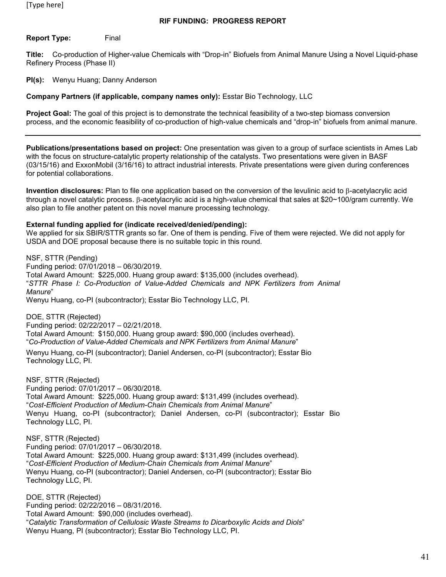**Report Type:** Final

**Title:** Co-production of Higher-value Chemicals with "Drop-in" Biofuels from Animal Manure Using a Novel Liquid-phase Refinery Process (Phase II)

**PI(s):** Wenyu Huang; Danny Anderson

**Company Partners (if applicable, company names only):** Esstar Bio Technology, LLC

**Project Goal:** The goal of this project is to demonstrate the technical feasibility of a two-step biomass conversion process, and the economic feasibility of co-production of high-value chemicals and "drop-in" biofuels from animal manure.

**Publications/presentations based on project:** One presentation was given to a group of surface scientists in Ames Lab with the focus on structure-catalytic property relationship of the catalysts. Two presentations were given in BASF (03/15/16) and ExxonMobil (3/16/16) to attract industrial interests. Private presentations were given during conferences for potential collaborations.

**Invention disclosures:** Plan to file one application based on the conversion of the levulinic acid to β-acetylacrylic acid through a novel catalytic process. β-acetylacrylic acid is a high-value chemical that sales at \$20~100/gram currently. We also plan to file another patent on this novel manure processing technology.

### **External funding applied for (indicate received/denied/pending):**

We applied for six SBIR/STTR grants so far. One of them is pending. Five of them were rejected. We did not apply for USDA and DOE proposal because there is no suitable topic in this round.

NSF, STTR (Pending) Funding period: 07/01/2018 – 06/30/2019. Total Award Amount: \$225,000. Huang group award: \$135,000 (includes overhead). "*STTR Phase I: Co-Production of Value-Added Chemicals and NPK Fertilizers from Animal Manure*" Wenyu Huang, co-PI (subcontractor); Esstar Bio Technology LLC, PI.

DOE, STTR (Rejected) Funding period: 02/22/2017 – 02/21/2018. Total Award Amount: \$150,000. Huang group award: \$90,000 (includes overhead). "*Co-Production of Value-Added Chemicals and NPK Fertilizers from Animal Manure*" Wenyu Huang, co-PI (subcontractor); Daniel Andersen, co-PI (subcontractor); Esstar Bio Technology LLC, PI.

NSF, STTR (Rejected) Funding period: 07/01/2017 – 06/30/2018. Total Award Amount: \$225,000. Huang group award: \$131,499 (includes overhead). "*Cost-Efficient Production of Medium-Chain Chemicals from Animal Manure*" Wenyu Huang, co-PI (subcontractor); Daniel Andersen, co-PI (subcontractor); Esstar Bio Technology LLC, PI.

NSF, STTR (Rejected) Funding period: 07/01/2017 – 06/30/2018. Total Award Amount: \$225,000. Huang group award: \$131,499 (includes overhead). "*Cost-Efficient Production of Medium-Chain Chemicals from Animal Manure*" Wenyu Huang, co-PI (subcontractor); Daniel Andersen, co-PI (subcontractor); Esstar Bio Technology LLC, PI.

DOE, STTR (Rejected) Funding period: 02/22/2016 – 08/31/2016. Total Award Amount: \$90,000 (includes overhead). "*Catalytic Transformation of Cellulosic Waste Streams to Dicarboxylic Acids and Diols*" Wenyu Huang, PI (subcontractor); Esstar Bio Technology LLC, PI.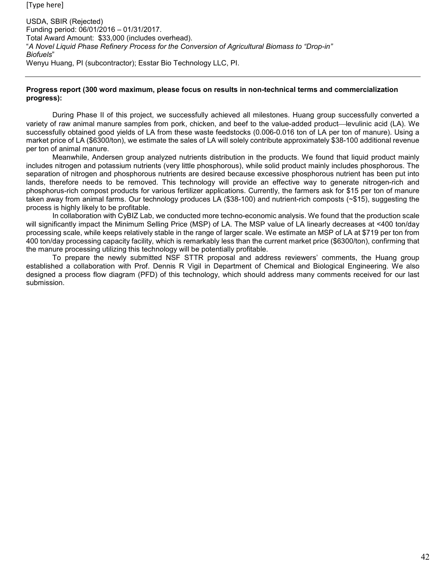USDA, SBIR (Rejected) Funding period: 06/01/2016 – 01/31/2017. Total Award Amount: \$33,000 (includes overhead). "*A Novel Liquid Phase Refinery Process for the Conversion of Agricultural Biomass to "Drop-in" Biofuels*" Wenyu Huang, PI (subcontractor); Esstar Bio Technology LLC, PI.

### **Progress report (300 word maximum, please focus on results in non-technical terms and commercialization progress):**

During Phase II of this project, we successfully achieved all milestones. Huang group successfully converted a variety of raw animal manure samples from pork, chicken, and beef to the value-added product—levulinic acid (LA). We successfully obtained good yields of LA from these waste feedstocks (0.006-0.016 ton of LA per ton of manure). Using a market price of LA (\$6300/ton), we estimate the sales of LA will solely contribute approximately \$38-100 additional revenue per ton of animal manure.

Meanwhile, Andersen group analyzed nutrients distribution in the products. We found that liquid product mainly includes nitrogen and potassium nutrients (very little phosphorous), while solid product mainly includes phosphorous. The separation of nitrogen and phosphorous nutrients are desired because excessive phosphorous nutrient has been put into lands, therefore needs to be removed. This technology will provide an effective way to generate nitrogen-rich and phosphorus-rich compost products for various fertilizer applications. Currently, the farmers ask for \$15 per ton of manure taken away from animal farms. Our technology produces LA (\$38-100) and nutrient-rich composts (~\$15), suggesting the process is highly likely to be profitable.

In collaboration with CyBIZ Lab, we conducted more techno-economic analysis. We found that the production scale will significantly impact the Minimum Selling Price (MSP) of LA. The MSP value of LA linearly decreases at <400 ton/day processing scale, while keeps relatively stable in the range of larger scale. We estimate an MSP of LA at \$719 per ton from 400 ton/day processing capacity facility, which is remarkably less than the current market price (\$6300/ton), confirming that the manure processing utilizing this technology will be potentially profitable.

To prepare the newly submitted NSF STTR proposal and address reviewers' comments, the Huang group established a collaboration with Prof. Dennis R Vigil in Department of Chemical and Biological Engineering. We also designed a process flow diagram (PFD) of this technology, which should address many comments received for our last submission.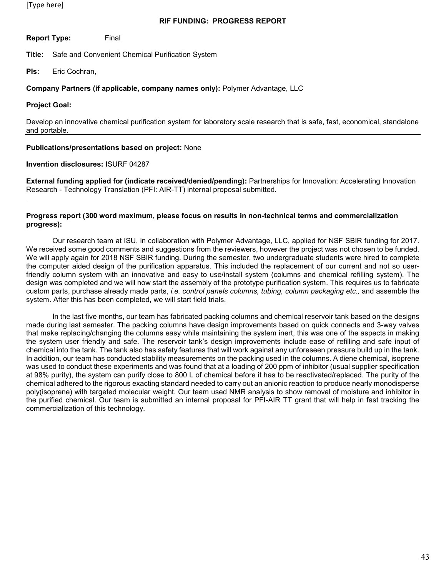### **RIF FUNDING: PROGRESS REPORT**

**Report Type:** Final

**Title:** Safe and Convenient Chemical Purification System

**PIs:** Eric Cochran,

### **Company Partners (if applicable, company names only):** Polymer Advantage, LLC

#### **Project Goal:**

Develop an innovative chemical purification system for laboratory scale research that is safe, fast, economical, standalone and portable.

#### **Publications/presentations based on project:** None

#### **Invention disclosures:** ISURF 04287

**External funding applied for (indicate received/denied/pending):** Partnerships for Innovation: Accelerating Innovation Research - Technology Translation (PFI: AIR-TT) internal proposal submitted.

#### **Progress report (300 word maximum, please focus on results in non-technical terms and commercialization progress):**

Our research team at ISU, in collaboration with Polymer Advantage, LLC, applied for NSF SBIR funding for 2017. We received some good comments and suggestions from the reviewers, however the project was not chosen to be funded. We will apply again for 2018 NSF SBIR funding. During the semester, two undergraduate students were hired to complete the computer aided design of the purification apparatus. This included the replacement of our current and not so userfriendly column system with an innovative and easy to use/install system (columns and chemical refilling system). The design was completed and we will now start the assembly of the prototype purification system. This requires us to fabricate custom parts, purchase already made parts, *i.e. control panels columns, tubing, column packaging etc.*, and assemble the system. After this has been completed, we will start field trials.

In the last five months, our team has fabricated packing columns and chemical reservoir tank based on the designs made during last semester. The packing columns have design improvements based on quick connects and 3-way valves that make replacing/changing the columns easy while maintaining the system inert, this was one of the aspects in making the system user friendly and safe. The reservoir tank's design improvements include ease of refilling and safe input of chemical into the tank. The tank also has safety features that will work against any unforeseen pressure build up in the tank. In addition, our team has conducted stability measurements on the packing used in the columns. A diene chemical, isoprene was used to conduct these experiments and was found that at a loading of 200 ppm of inhibitor (usual supplier specification at 98% purity), the system can purify close to 800 L of chemical before it has to be reactivated/replaced. The purity of the chemical adhered to the rigorous exacting standard needed to carry out an anionic reaction to produce nearly monodisperse poly(isoprene) with targeted molecular weight. Our team used NMR analysis to show removal of moisture and inhibitor in the purified chemical. Our team is submitted an internal proposal for PFI-AIR TT grant that will help in fast tracking the commercialization of this technology.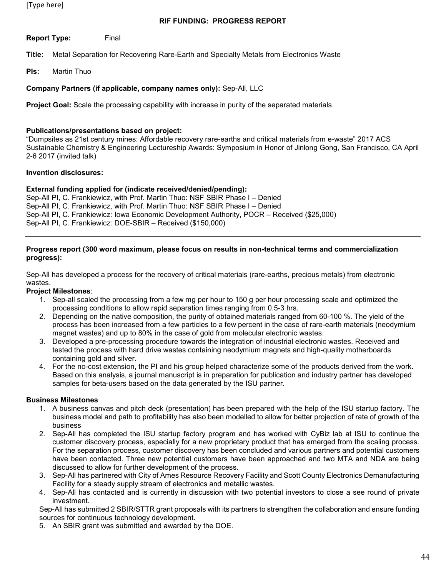## **RIF FUNDING: PROGRESS REPORT**

**Report Type:** Final

**Title:** Metal Separation for Recovering Rare-Earth and Specialty Metals from Electronics Waste

**PIs:** Martin Thuo

## **Company Partners (if applicable, company names only):** Sep-All, LLC

**Project Goal:** Scale the processing capability with increase in purity of the separated materials.

### **Publications/presentations based on project:**

"Dumpsites as 21st century mines: Affordable recovery rare-earths and critical materials from e-waste" 2017 ACS Sustainable Chemistry & Engineering Lectureship Awards: Symposium in Honor of Jinlong Gong, San Francisco, CA April 2-6 2017 (invited talk)

### **Invention disclosures:**

## **External funding applied for (indicate received/denied/pending):**

Sep-All PI, C. Frankiewicz, with Prof. Martin Thuo: NSF SBIR Phase I – Denied Sep-All PI, C. Frankiewicz, with Prof. Martin Thuo: NSF SBIR Phase I – Denied Sep-All PI, C. Frankiewicz: Iowa Economic Development Authority, POCR – Received (\$25,000) Sep-All PI, C. Frankiewicz: DOE-SBIR – Received (\$150,000)

#### **Progress report (300 word maximum, please focus on results in non-technical terms and commercialization progress):**

Sep-All has developed a process for the recovery of critical materials (rare-earths, precious metals) from electronic wastes.

## **Project Milestones**:

- 1. Sep-all scaled the processing from a few mg per hour to 150 g per hour processing scale and optimized the processing conditions to allow rapid separation times ranging from 0.5-3 hrs.
- 2. Depending on the native composition, the purity of obtained materials ranged from 60-100 %. The yield of the process has been increased from a few particles to a few percent in the case of rare-earth materials (neodymium magnet wastes) and up to 80% in the case of gold from molecular electronic wastes.
- 3. Developed a pre-processing procedure towards the integration of industrial electronic wastes. Received and tested the process with hard drive wastes containing neodymium magnets and high-quality motherboards containing gold and silver.
- 4. For the no-cost extension, the PI and his group helped characterize some of the products derived from the work. Based on this analysis, a journal manuscript is in preparation for publication and industry partner has developed samples for beta-users based on the data generated by the ISU partner.

## **Business Milestones**

- 1. A business canvas and pitch deck (presentation) has been prepared with the help of the ISU startup factory. The business model and path to profitability has also been modelled to allow for better projection of rate of growth of the business
- 2. Sep-All has completed the ISU startup factory program and has worked with CyBiz lab at ISU to continue the customer discovery process, especially for a new proprietary product that has emerged from the scaling process. For the separation process, customer discovery has been concluded and various partners and potential customers have been contacted. Three new potential customers have been approached and two MTA and NDA are being discussed to allow for further development of the process.
- 3. Sep-All has partnered with City of Ames Resource Recovery Facility and Scott County Electronics Demanufacturing Facility for a steady supply stream of electronics and metallic wastes.
- 4. Sep-All has contacted and is currently in discussion with two potential investors to close a see round of private investment.

Sep-All has submitted 2 SBIR/STTR grant proposals with its partners to strengthen the collaboration and ensure funding sources for continuous technology development.

5. An SBIR grant was submitted and awarded by the DOE.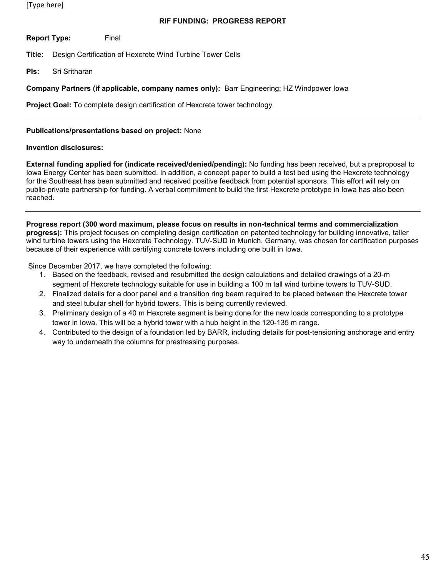## **RIF FUNDING: PROGRESS REPORT**

**Report Type:** Final

**Title:** Design Certification of Hexcrete Wind Turbine Tower Cells

**PIs:** Sri Sritharan

## **Company Partners (if applicable, company names only):** Barr Engineering; HZ Windpower Iowa

**Project Goal:** To complete design certification of Hexcrete tower technology

## **Publications/presentations based on project:** None

### **Invention disclosures:**

**External funding applied for (indicate received/denied/pending):** No funding has been received, but a preproposal to Iowa Energy Center has been submitted. In addition, a concept paper to build a test bed using the Hexcrete technology for the Southeast has been submitted and received positive feedback from potential sponsors. This effort will rely on public-private partnership for funding. A verbal commitment to build the first Hexcrete prototype in Iowa has also been reached.

**Progress report (300 word maximum, please focus on results in non-technical terms and commercialization progress):** This project focuses on completing design certification on patented technology for building innovative, taller wind turbine towers using the Hexcrete Technology. TUV-SUD in Munich, Germany, was chosen for certification purposes because of their experience with certifying concrete towers including one built in Iowa.

Since December 2017, we have completed the following:

- 1. Based on the feedback, revised and resubmitted the design calculations and detailed drawings of a 20-m segment of Hexcrete technology suitable for use in building a 100 m tall wind turbine towers to TUV-SUD.
- 2. Finalized details for a door panel and a transition ring beam required to be placed between the Hexcrete tower and steel tubular shell for hybrid towers. This is being currently reviewed.
- 3. Preliminary design of a 40 m Hexcrete segment is being done for the new loads corresponding to a prototype tower in Iowa. This will be a hybrid tower with a hub height in the 120-135 m range.
- 4. Contributed to the design of a foundation led by BARR, including details for post-tensioning anchorage and entry way to underneath the columns for prestressing purposes.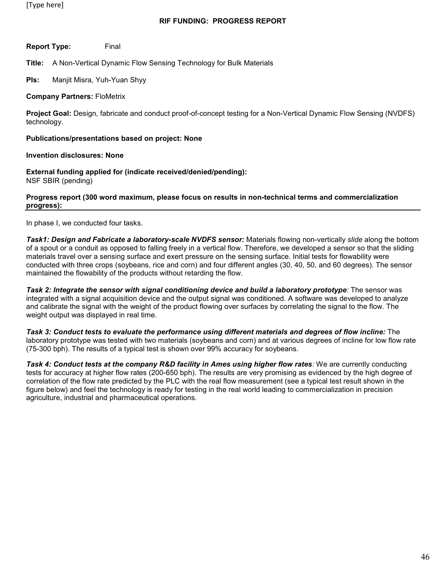**Report Type:** Final

**Title:** A Non-Vertical Dynamic Flow Sensing Technology for Bulk Materials

**PIs:** Manjit Misra, Yuh-Yuan Shyy

#### **Company Partners:** FloMetrix

**Project Goal:** Design, fabricate and conduct proof-of-concept testing for a Non-Vertical Dynamic Flow Sensing (NVDFS) technology.

#### **Publications/presentations based on project: None**

#### **Invention disclosures: None**

**External funding applied for (indicate received/denied/pending):**  NSF SBIR (pending)

#### **Progress report (300 word maximum, please focus on results in non-technical terms and commercialization progress):**

In phase I, we conducted four tasks.

*Task1: Design and Fabricate a laboratory-scale NVDFS sensor:* Materials flowing non-vertically *slide* along the bottom of a spout or a conduit as opposed to falling freely in a vertical flow. Therefore, we developed a sensor so that the sliding materials travel over a sensing surface and exert pressure on the sensing surface. Initial tests for flowability were conducted with three crops (soybeans, rice and corn) and four different angles (30, 40, 50, and 60 degrees). The sensor maintained the flowability of the products without retarding the flow.

*Task 2: Integrate the sensor with signal conditioning device and build a laboratory prototype:* The sensor was integrated with a signal acquisition device and the output signal was conditioned. A software was developed to analyze and calibrate the signal with the weight of the product flowing over surfaces by correlating the signal to the flow. The weight output was displayed in real time.

*Task 3: Conduct tests to evaluate the performance using different materials and degrees of flow incline:* The laboratory prototype was tested with two materials (soybeans and corn) and at various degrees of incline for low flow rate (75-300 bph). The results of a typical test is shown over 99% accuracy for soybeans.

**Task 4: Conduct tests at the company R&D facility in Ames using higher flow rates: We are currently conducting** tests for accuracy at higher flow rates (200-650 bph). The results are very promising as evidenced by the high degree of correlation of the flow rate predicted by the PLC with the real flow measurement (see a typical test result shown in the figure below) and feel the technology is ready for testing in the real world leading to commercialization in precision agriculture, industrial and pharmaceutical operations.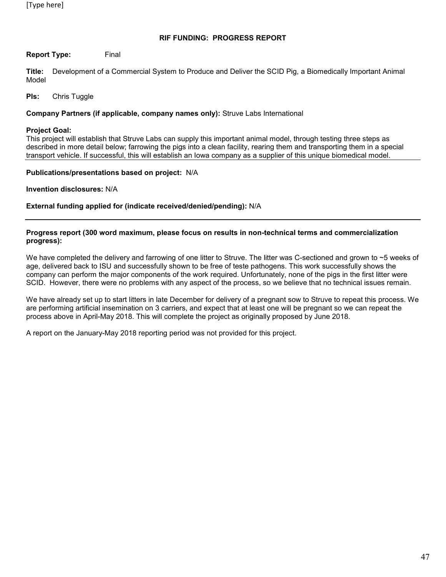## **Report Type:** Final

**Title:** Development of a Commercial System to Produce and Deliver the SCID Pig, a Biomedically Important Animal Model

### **PIs:** Chris Tuggle

#### **Company Partners (if applicable, company names only):** Struve Labs International

#### **Project Goal:**

This project will establish that Struve Labs can supply this important animal model, through testing three steps as described in more detail below; farrowing the pigs into a clean facility, rearing them and transporting them in a special transport vehicle. If successful, this will establish an Iowa company as a supplier of this unique biomedical model.

#### **Publications/presentations based on project:** N/A

**Invention disclosures:** N/A

#### **External funding applied for (indicate received/denied/pending):** N/A

#### **Progress report (300 word maximum, please focus on results in non-technical terms and commercialization progress):**

We have completed the delivery and farrowing of one litter to Struve. The litter was C-sectioned and grown to ~5 weeks of age, delivered back to ISU and successfully shown to be free of teste pathogens. This work successfully shows the company can perform the major components of the work required. Unfortunately, none of the pigs in the first litter were SCID. However, there were no problems with any aspect of the process, so we believe that no technical issues remain.

We have already set up to start litters in late December for delivery of a pregnant sow to Struve to repeat this process. We are performing artificial insemination on 3 carriers, and expect that at least one will be pregnant so we can repeat the process above in April-May 2018. This will complete the project as originally proposed by June 2018.

A report on the January-May 2018 reporting period was not provided for this project.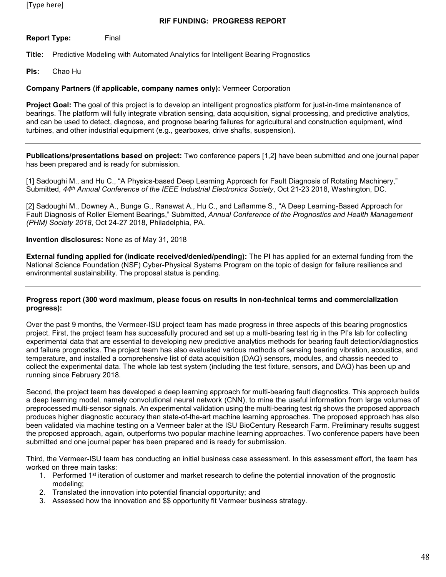## **RIF FUNDING: PROGRESS REPORT**

**Report Type:** Final

**Title:** Predictive Modeling with Automated Analytics for Intelligent Bearing Prognostics

**PIs:** Chao Hu

## **Company Partners (if applicable, company names only):** Vermeer Corporation

**Project Goal:** The goal of this project is to develop an intelligent prognostics platform for just-in-time maintenance of bearings. The platform will fully integrate vibration sensing, data acquisition, signal processing, and predictive analytics, and can be used to detect, diagnose, and prognose bearing failures for agricultural and construction equipment, wind turbines, and other industrial equipment (e.g., gearboxes, drive shafts, suspension).

**Publications/presentations based on project:** Two conference papers [1,2] have been submitted and one journal paper has been prepared and is ready for submission.

[1] Sadoughi M., and Hu C., "A Physics-based Deep Learning Approach for Fault Diagnosis of Rotating Machinery," Submitted, *44th Annual Conference of the IEEE Industrial Electronics Society*, Oct 21-23 2018, Washington, DC.

[2] Sadoughi M., Downey A., Bunge G., Ranawat A., Hu C., and Laflamme S., "A Deep Learning-Based Approach for Fault Diagnosis of Roller Element Bearings," Submitted, *Annual Conference of the Prognostics and Health Management (PHM) Society 2018*, Oct 24-27 2018, Philadelphia, PA.

### **Invention disclosures:** None as of May 31, 2018

**External funding applied for (indicate received/denied/pending):** The PI has applied for an external funding from the National Science Foundation (NSF) Cyber-Physical Systems Program on the topic of design for failure resilience and environmental sustainability. The proposal status is pending.

#### **Progress report (300 word maximum, please focus on results in non-technical terms and commercialization progress):**

Over the past 9 months, the Vermeer-ISU project team has made progress in three aspects of this bearing prognostics project. First, the project team has successfully procured and set up a multi-bearing test rig in the PI's lab for collecting experimental data that are essential to developing new predictive analytics methods for bearing fault detection/diagnostics and failure prognostics. The project team has also evaluated various methods of sensing bearing vibration, acoustics, and temperature, and installed a comprehensive list of data acquisition (DAQ) sensors, modules, and chassis needed to collect the experimental data. The whole lab test system (including the test fixture, sensors, and DAQ) has been up and running since February 2018.

Second, the project team has developed a deep learning approach for multi-bearing fault diagnostics. This approach builds a deep learning model, namely convolutional neural network (CNN), to mine the useful information from large volumes of preprocessed multi-sensor signals. An experimental validation using the multi-bearing test rig shows the proposed approach produces higher diagnostic accuracy than state-of-the-art machine learning approaches. The proposed approach has also been validated via machine testing on a Vermeer baler at the ISU BioCentury Research Farm. Preliminary results suggest the proposed approach, again, outperforms two popular machine learning approaches. Two conference papers have been submitted and one journal paper has been prepared and is ready for submission.

Third, the Vermeer-ISU team has conducting an initial business case assessment. In this assessment effort, the team has worked on three main tasks:

- 1. Performed 1<sup>st</sup> iteration of customer and market research to define the potential innovation of the prognostic modeling;
- 2. Translated the innovation into potential financial opportunity; and
- 3. Assessed how the innovation and \$\$ opportunity fit Vermeer business strategy.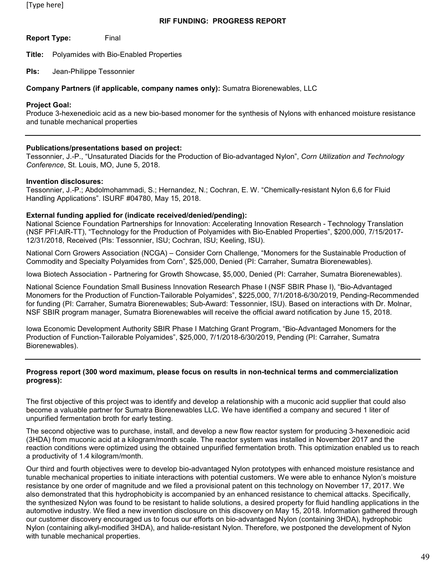### **RIF FUNDING: PROGRESS REPORT**

**Report Type:** Final

**Title:** Polyamides with Bio-Enabled Properties

**PIs:** Jean-Philippe Tessonnier

#### **Company Partners (if applicable, company names only):** Sumatra Biorenewables, LLC

#### **Project Goal:**

Produce 3-hexenedioic acid as a new bio-based monomer for the synthesis of Nylons with enhanced moisture resistance and tunable mechanical properties

### **Publications/presentations based on project:**

Tessonnier, J.-P., "Unsaturated Diacids for the Production of Bio-advantaged Nylon", *Corn Utilization and Technology Conference*, St. Louis, MO, June 5, 2018.

#### **Invention disclosures:**

Tessonnier, J.-P.; Abdolmohammadi, S.; Hernandez, N.; Cochran, E. W. "Chemically-resistant Nylon 6,6 for Fluid Handling Applications". ISURF #04780, May 15, 2018.

#### **External funding applied for (indicate received/denied/pending):**

National Science Foundation Partnerships for Innovation: Accelerating Innovation Research - Technology Translation (NSF PFI:AIR-TT), "Technology for the Production of Polyamides with Bio-Enabled Properties", \$200,000, 7/15/2017- 12/31/2018, Received (PIs: Tessonnier, ISU; Cochran, ISU; Keeling, ISU).

National Corn Growers Association (NCGA) – Consider Corn Challenge, "Monomers for the Sustainable Production of Commodity and Specialty Polyamides from Corn", \$25,000, Denied (PI: Carraher, Sumatra Biorenewables).

Iowa Biotech Association - Partnering for Growth Showcase, \$5,000, Denied (PI: Carraher, Sumatra Biorenewables).

National Science Foundation Small Business Innovation Research Phase I (NSF SBIR Phase I), "Bio-Advantaged Monomers for the Production of Function-Tailorable Polyamides", \$225,000, 7/1/2018-6/30/2019, Pending-Recommended for funding (PI: Carraher, Sumatra Biorenewables; Sub-Award: Tessonnier, ISU). Based on interactions with Dr. Molnar, NSF SBIR program manager, Sumatra Biorenewables will receive the official award notification by June 15, 2018.

Iowa Economic Development Authority SBIR Phase I Matching Grant Program, "Bio-Advantaged Monomers for the Production of Function-Tailorable Polyamides", \$25,000, 7/1/2018-6/30/2019, Pending (PI: Carraher, Sumatra Biorenewables).

#### **Progress report (300 word maximum, please focus on results in non-technical terms and commercialization progress):**

The first objective of this project was to identify and develop a relationship with a muconic acid supplier that could also become a valuable partner for Sumatra Biorenewables LLC. We have identified a company and secured 1 liter of unpurified fermentation broth for early testing.

The second objective was to purchase, install, and develop a new flow reactor system for producing 3-hexenedioic acid (3HDA) from muconic acid at a kilogram/month scale. The reactor system was installed in November 2017 and the reaction conditions were optimized using the obtained unpurified fermentation broth. This optimization enabled us to reach a productivity of 1.4 kilogram/month.

Our third and fourth objectives were to develop bio-advantaged Nylon prototypes with enhanced moisture resistance and tunable mechanical properties to initiate interactions with potential customers. We were able to enhance Nylon's moisture resistance by one order of magnitude and we filed a provisional patent on this technology on November 17, 2017. We also demonstrated that this hydrophobicity is accompanied by an enhanced resistance to chemical attacks. Specifically, the synthesized Nylon was found to be resistant to halide solutions, a desired property for fluid handling applications in the automotive industry. We filed a new invention disclosure on this discovery on May 15, 2018. Information gathered through our customer discovery encouraged us to focus our efforts on bio-advantaged Nylon (containing 3HDA), hydrophobic Nylon (containing alkyl-modified 3HDA), and halide-resistant Nylon. Therefore, we postponed the development of Nylon with tunable mechanical properties.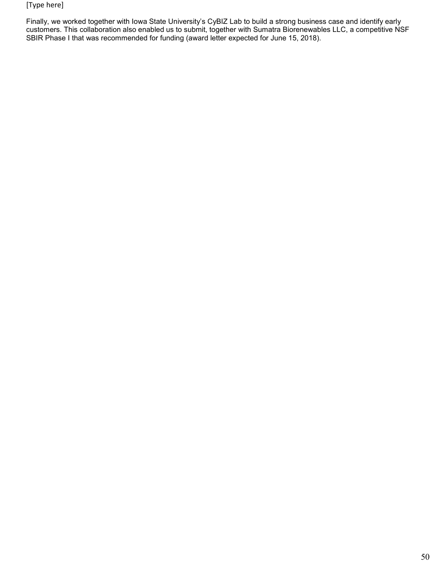Finally, we worked together with Iowa State University's CyBIZ Lab to build a strong business case and identify early customers. This collaboration also enabled us to submit, together with Sumatra Biorenewables LLC, a competitive NSF SBIR Phase I that was recommended for funding (award letter expected for June 15, 2018).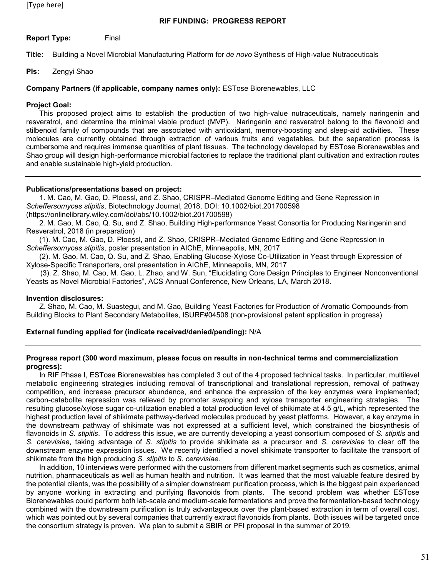**Report Type:** Final

**Title:** Building a Novel Microbial Manufacturing Platform for *de novo* Synthesis of High-value Nutraceuticals

**PIs:** Zengyi Shao

### **Company Partners (if applicable, company names only):** ESTose Biorenewables, LLC

#### **Project Goal:**

This proposed project aims to establish the production of two high-value nutraceuticals, namely naringenin and resveratrol, and determine the minimal viable product (MVP). Naringenin and resveratrol belong to the flavonoid and stilbenoid family of compounds that are associated with antioxidant, memory-boosting and sleep-aid activities. These molecules are currently obtained through extraction of various fruits and vegetables, but the separation process is cumbersome and requires immense quantities of plant tissues. The technology developed by ESTose Biorenewables and Shao group will design high-performance microbial factories to replace the traditional plant cultivation and extraction routes and enable sustainable high-yield production.

### **Publications/presentations based on project:**

1. M. Cao, M. Gao, D. Ploessl, and Z. Shao, CRISPR–Mediated Genome Editing and Gene Repression in *Scheffersomyces stipitis*, Biotechnology Journal, 2018, DOI: 10.1002/biot.201700598 (https://onlinelibrary.wiley.com/doi/abs/10.1002/biot.201700598)

2. M. Gao, M. Cao, Q. Su, and Z. Shao, Building High-performance Yeast Consortia for Producing Naringenin and Resveratrol, 2018 (in preparation)

(1). M. Cao, M. Gao, D. Ploessl, and Z. Shao, CRISPR–Mediated Genome Editing and Gene Repression in *Scheffersomyces stipitis*, poster presentation in AIChE, Minneapolis, MN, 2017

(2). M. Gao, M. Cao, Q. Su, and Z. Shao, Enabling Glucose-Xylose Co-Utilization in Yeast through Expression of Xylose-Specific Transporters, oral presentation in AIChE, Minneapolis, MN, 2017

 (3). Z. Shao, M. Cao, M. Gao, L. Zhao, and W. Sun, "Elucidating Core Design Principles to Engineer Nonconventional Yeasts as Novel Microbial Factories", ACS Annual Conference, New Orleans, LA, March 2018.

#### **Invention disclosures:**

Z. Shao, M. Cao, M. Suastegui, and M. Gao, Building Yeast Factories for Production of Aromatic Compounds-from Building Blocks to Plant Secondary Metabolites, ISURF#04508 (non-provisional patent application in progress)

#### **External funding applied for (indicate received/denied/pending):** N/A

#### **Progress report (300 word maximum, please focus on results in non-technical terms and commercialization progress):**

In RIF Phase I, ESTose Biorenewables has completed 3 out of the 4 proposed technical tasks. In particular, multilevel metabolic engineering strategies including removal of transcriptional and translational repression, removal of pathway competition, and increase precursor abundance, and enhance the expression of the key enzymes were implemented; carbon-catabolite repression was relieved by promoter swapping and xylose transporter engineering strategies. The resulting glucose/xylose sugar co-utilization enabled a total production level of shikimate at 4.5 g/L, which represented the highest production level of shikimate pathway-derived molecules produced by yeast platforms. However, a key enzyme in the downstream pathway of shikimate was not expressed at a sufficient level, which constrained the biosynthesis of flavonoids in *S. stipitis*. To address this issue, we are currently developing a yeast consortium composed of *S. stipitis* and *S. cerevisiae*, taking advantage of *S. stipitis* to provide shikimate as a precursor and *S. cerevisiae* to clear off the downstream enzyme expression issues. We recently identified a novel shikimate transporter to facilitate the transport of shikimate from the high producing *S. stipitis* to *S. cerevisiae.*

In addition, 10 interviews were performed with the customers from different market segments such as cosmetics, animal nutrition, pharmaceuticals as well as human health and nutrition. It was learned that the most valuable feature desired by the potential clients, was the possibility of a simpler downstream purification process, which is the biggest pain experienced by anyone working in extracting and purifying flavonoids from plants. The second problem was whether ESTose Biorenewables could perform both lab-scale and medium-scale fermentations and prove the fermentation-based technology combined with the downstream purification is truly advantageous over the plant-based extraction in term of overall cost, which was pointed out by several companies that currently extract flavonoids from plants. Both issues will be targeted once the consortium strategy is proven. We plan to submit a SBIR or PFI proposal in the summer of 2019.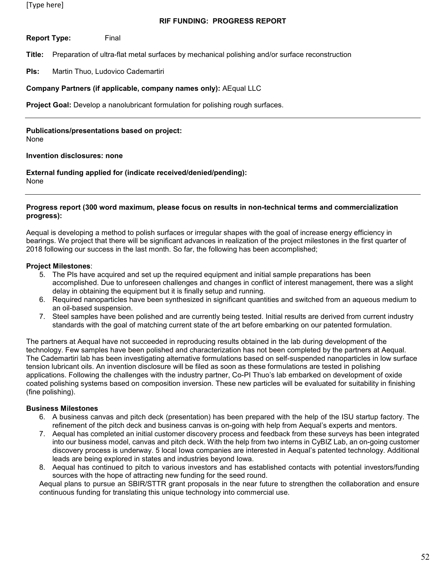**Report Type:** Final

**Title:** Preparation of ultra-flat metal surfaces by mechanical polishing and/or surface reconstruction

**PIs:** Martin Thuo, Ludovico Cademartiri

## **Company Partners (if applicable, company names only):** AEqual LLC

**Project Goal:** Develop a nanolubricant formulation for polishing rough surfaces.

## **Publications/presentations based on project:**

None

#### **Invention disclosures: none**

**External funding applied for (indicate received/denied/pending):**  None

#### **Progress report (300 word maximum, please focus on results in non-technical terms and commercialization progress):**

Aequal is developing a method to polish surfaces or irregular shapes with the goal of increase energy efficiency in bearings. We project that there will be significant advances in realization of the project milestones in the first quarter of 2018 following our success in the last month. So far, the following has been accomplished;

### **Project Milestones**:

- 5. The PIs have acquired and set up the required equipment and initial sample preparations has been accomplished. Due to unforeseen challenges and changes in conflict of interest management, there was a slight delay in obtaining the equipment but it is finally setup and running.
- 6. Required nanoparticles have been synthesized in significant quantities and switched from an aqueous medium to an oil-based suspension.
- 7. Steel samples have been polished and are currently being tested. Initial results are derived from current industry standards with the goal of matching current state of the art before embarking on our patented formulation.

The partners at Aequal have not succeeded in reproducing results obtained in the lab during development of the technology. Few samples have been polished and characterization has not been completed by the partners at Aequal. The Cademartiri lab has been investigating alternative formulations based on self-suspended nanoparticles in low surface tension lubricant oils. An invention disclosure will be filed as soon as these formulations are tested in polishing applications. Following the challenges with the industry partner, Co-PI Thuo's lab embarked on development of oxide coated polishing systems based on composition inversion. These new particles will be evaluated for suitability in finishing (fine polishing).

## **Business Milestones**

- 6. A business canvas and pitch deck (presentation) has been prepared with the help of the ISU startup factory. The refinement of the pitch deck and business canvas is on-going with help from Aequal's experts and mentors.
- 7. Aequal has completed an initial customer discovery process and feedback from these surveys has been integrated into our business model, canvas and pitch deck. With the help from two interns in CyBIZ Lab, an on-going customer discovery process is underway. 5 local Iowa companies are interested in Aequal's patented technology. Additional leads are being explored in states and industries beyond Iowa.
- 8. Aequal has continued to pitch to various investors and has established contacts with potential investors/funding sources with the hope of attracting new funding for the seed round.

Aequal plans to pursue an SBIR/STTR grant proposals in the near future to strengthen the collaboration and ensure continuous funding for translating this unique technology into commercial use.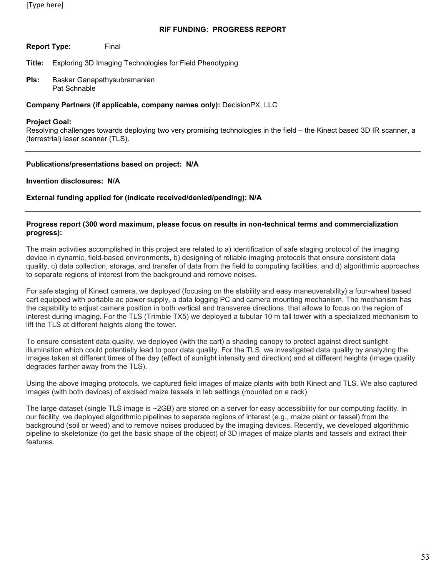**Report Type:** Final

**Title:** Exploring 3D Imaging Technologies for Field Phenotyping

**PIs:** Baskar Ganapathysubramanian Pat Schnable

### **Company Partners (if applicable, company names only):** DecisionPX, LLC

#### **Project Goal:**

Resolving challenges towards deploying two very promising technologies in the field – the Kinect based 3D IR scanner, a (terrestrial) laser scanner (TLS).

### **Publications/presentations based on project: N/A**

**Invention disclosures: N/A**

**External funding applied for (indicate received/denied/pending): N/A**

#### **Progress report (300 word maximum, please focus on results in non-technical terms and commercialization progress):**

The main activities accomplished in this project are related to a) identification of safe staging protocol of the imaging device in dynamic, field-based environments, b) designing of reliable imaging protocols that ensure consistent data quality, c) data collection, storage, and transfer of data from the field to computing facilities, and d) algorithmic approaches to separate regions of interest from the background and remove noises.

For safe staging of Kinect camera, we deployed (focusing on the stability and easy maneuverability) a four-wheel based cart equipped with portable ac power supply, a data logging PC and camera mounting mechanism. The mechanism has the capability to adjust camera position in both vertical and transverse directions, that allows to focus on the region of interest during imaging. For the TLS (Trimble TX5) we deployed a tubular 10 m tall tower with a specialized mechanism to lift the TLS at different heights along the tower.

To ensure consistent data quality, we deployed (with the cart) a shading canopy to protect against direct sunlight illumination which could potentially lead to poor data quality. For the TLS, we investigated data quality by analyzing the images taken at different times of the day (effect of sunlight intensity and direction) and at different heights (image quality degrades farther away from the TLS).

Using the above imaging protocols, we captured field images of maize plants with both Kinect and TLS. We also captured images (with both devices) of excised maize tassels in lab settings (mounted on a rack).

The large dataset (single TLS image is ~2GB) are stored on a server for easy accessibility for our computing facility. In our facility, we deployed algorithmic pipelines to separate regions of interest (e.g., maize plant or tassel) from the background (soil or weed) and to remove noises produced by the imaging devices. Recently, we developed algorithmic pipeline to skeletonize (to get the basic shape of the object) of 3D images of maize plants and tassels and extract their features.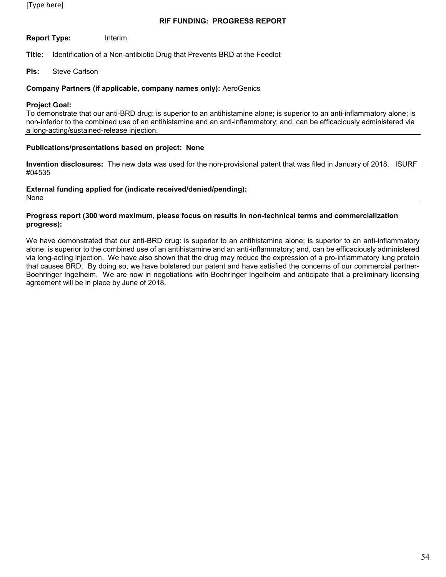## **RIF FUNDING: PROGRESS REPORT**

**Report Type:** Interim

**Title:** Identification of a Non-antibiotic Drug that Prevents BRD at the Feedlot

**PIs:** Steve Carlson

#### **Company Partners (if applicable, company names only):** AeroGenics

#### **Project Goal:**

To demonstrate that our anti-BRD drug: is superior to an antihistamine alone; is superior to an anti-inflammatory alone; is non-inferior to the combined use of an antihistamine and an anti-inflammatory; and, can be efficaciously administered via a long-acting/sustained-release injection.

#### **Publications/presentations based on project: None**

**Invention disclosures:** The new data was used for the non-provisional patent that was filed in January of 2018. ISURF #04535

### **External funding applied for (indicate received/denied/pending):**

None

### **Progress report (300 word maximum, please focus on results in non-technical terms and commercialization progress):**

We have demonstrated that our anti-BRD drug: is superior to an antihistamine alone; is superior to an anti-inflammatory alone; is superior to the combined use of an antihistamine and an anti-inflammatory; and, can be efficaciously administered via long-acting injection. We have also shown that the drug may reduce the expression of a pro-inflammatory lung protein that causes BRD. By doing so, we have bolstered our patent and have satisfied the concerns of our commercial partner-Boehringer Ingelheim. We are now in negotiations with Boehringer Ingelheim and anticipate that a preliminary licensing agreement will be in place by June of 2018.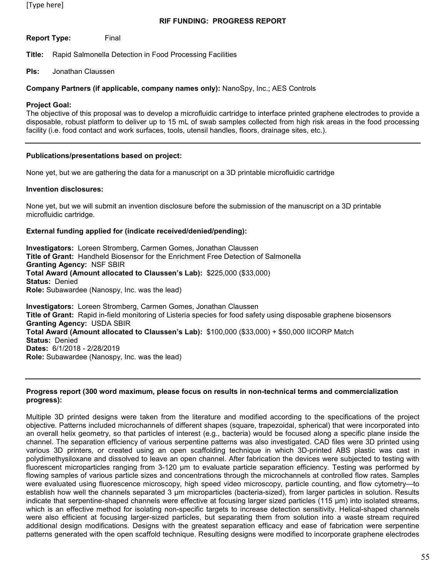## **RIF FUNDING: PROGRESS REPORT**

**Report Type:** Final

**Title:** Rapid Salmonella Detection in Food Processing Facilities

#### **PIs:** Jonathan Claussen

#### **Company Partners (if applicable, company names only):** NanoSpy, Inc.; AES Controls

#### **Project Goal:**

The objective of this proposal was to develop a microfluidic cartridge to interface printed graphene electrodes to provide a disposable, robust platform to deliver up to 15 mL of swab samples collected from high risk areas in the food processing facility (i.e. food contact and work surfaces, tools, utensil handles, floors, drainage sites, etc.).

### **Publications/presentations based on project:**

None yet, but we are gathering the data for a manuscript on a 3D printable microfluidic cartridge

#### **Invention disclosures:**

None yet, but we will submit an invention disclosure before the submission of the manuscript on a 3D printable microfluidic cartridge.

#### **External funding applied for (indicate received/denied/pending):**

**Investigators:** Loreen Stromberg, Carmen Gomes, Jonathan Claussen **Title of Grant:** Handheld Biosensor for the Enrichment Free Detection of Salmonella **Granting Agency:** NSF SBIR **Total Award (Amount allocated to Claussen's Lab):** \$225,000 (\$33,000) **Status:** Denied **Role:** Subawardee (Nanospy, Inc. was the lead) **Investigators:** Loreen Stromberg, Carmen Gomes, Jonathan Claussen

**Title of Grant:** Rapid in-field monitoring of Listeria species for food safety using disposable graphene biosensors **Granting Agency:** USDA SBIR **Total Award (Amount allocated to Claussen's Lab):** \$100,000 (\$33,000) + \$50,000 IICORP Match **Status:** Denied **Dates:** 6/1/2018 - 2/28/2019 **Role:** Subawardee (Nanospy, Inc. was the lead)

#### **Progress report (300 word maximum, please focus on results in non-technical terms and commercialization progress):**

Multiple 3D printed designs were taken from the literature and modified according to the specifications of the project objective. Patterns included microchannels of different shapes (square, trapezoidal, spherical) that were incorporated into an overall helix geometry, so that particles of interest (e.g., bacteria) would be focused along a specific plane inside the channel. The separation efficiency of various serpentine patterns was also investigated. CAD files were 3D printed using various 3D printers, or created using an open scaffolding technique in which 3D-printed ABS plastic was cast in polydimethysiloxane and dissolved to leave an open channel. After fabrication the devices were subjected to testing with fluorescent microparticles ranging from 3-120 µm to evaluate particle separation efficiency. Testing was performed by flowing samples of various particle sizes and concentrations through the microchannels at controlled flow rates. Samples were evaluated using fluorescence microscopy, high speed video microscopy, particle counting, and flow cytometry—to establish how well the channels separated 3 µm microparticles (bacteria-sized), from larger particles in solution. Results indicate that serpentine-shaped channels were effective at focusing larger sized particles (115 µm) into isolated streams, which is an effective method for isolating non-specific targets to increase detection sensitivity. Helical-shaped channels were also efficient at focusing larger-sized particles, but separating them from solution into a waste stream required additional design modifications. Designs with the greatest separation efficacy and ease of fabrication were serpentine patterns generated with the open scaffold technique. Resulting designs were modified to incorporate graphene electrodes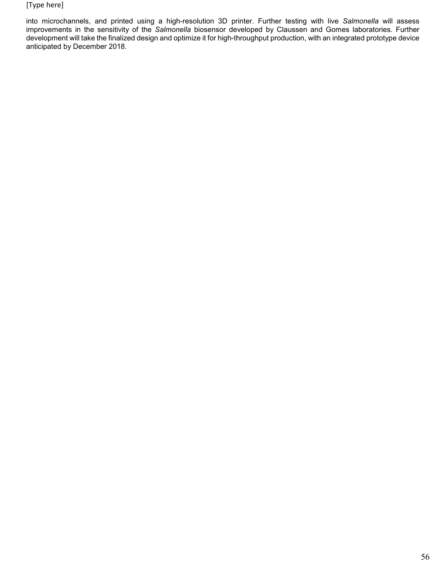into microchannels, and printed using a high-resolution 3D printer. Further testing with live *Salmonella* will assess improvements in the sensitivity of the *Salmonella* biosensor developed by Claussen and Gomes laboratories. Further development will take the finalized design and optimize it for high-throughput production, with an integrated prototype device anticipated by December 2018.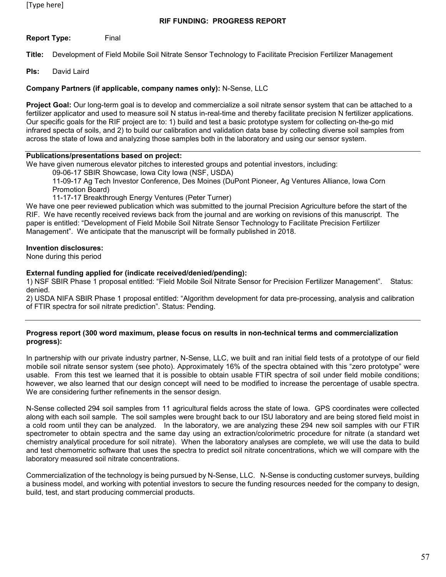**Report Type:** Final

**Title:** Development of Field Mobile Soil Nitrate Sensor Technology to Facilitate Precision Fertilizer Management

**PIs:** David Laird

### **Company Partners (if applicable, company names only):** N-Sense, LLC

**Project Goal:** Our long-term goal is to develop and commercialize a soil nitrate sensor system that can be attached to a fertilizer applicator and used to measure soil N status in-real-time and thereby facilitate precision N fertilizer applications. Our specific goals for the RIF project are to: 1) build and test a basic prototype system for collecting on-the-go mid infrared specta of soils, and 2) to build our calibration and validation data base by collecting diverse soil samples from across the state of Iowa and analyzing those samples both in the laboratory and using our sensor system.

### **Publications/presentations based on project:**

We have given numerous elevator pitches to interested groups and potential investors, including:

09-06-17 SBIR Showcase, Iowa City Iowa (NSF, USDA)

11-09-17 Ag Tech Investor Conference, Des Moines (DuPont Pioneer, Ag Ventures Alliance, Iowa Corn Promotion Board)

11-17-17 Breakthrough Energy Ventures (Peter Turner)

We have one peer reviewed publication which was submitted to the journal Precision Agriculture before the start of the RIF. We have recently received reviews back from the journal and are working on revisions of this manuscript. The paper is entitled: "Development of Field Mobile Soil Nitrate Sensor Technology to Facilitate Precision Fertilizer Management". We anticipate that the manuscript will be formally published in 2018.

#### **Invention disclosures:**

None during this period

#### **External funding applied for (indicate received/denied/pending):**

1) NSF SBIR Phase 1 proposal entitled: "Field Mobile Soil Nitrate Sensor for Precision Fertilizer Management". Status: denied.

2) USDA NIFA SBIR Phase 1 proposal entitled: "Algorithm development for data pre-processing, analysis and calibration of FTIR spectra for soil nitrate prediction". Status: Pending.

#### **Progress report (300 word maximum, please focus on results in non-technical terms and commercialization progress):**

In partnership with our private industry partner, N-Sense, LLC, we built and ran initial field tests of a prototype of our field mobile soil nitrate sensor system (see photo). Approximately 16% of the spectra obtained with this "zero prototype" were usable. From this test we learned that it is possible to obtain usable FTIR spectra of soil under field mobile conditions; however, we also learned that our design concept will need to be modified to increase the percentage of usable spectra. We are considering further refinements in the sensor design.

N-Sense collected 294 soil samples from 11 agricultural fields across the state of Iowa. GPS coordinates were collected along with each soil sample. The soil samples were brought back to our ISU laboratory and are being stored field moist in a cold room until they can be analyzed. In the laboratory, we are analyzing these 294 new soil samples with our FTIR spectrometer to obtain spectra and the same day using an extraction/colorimetric procedure for nitrate (a standard wet chemistry analytical procedure for soil nitrate). When the laboratory analyses are complete, we will use the data to build and test chemometric software that uses the spectra to predict soil nitrate concentrations, which we will compare with the laboratory measured soil nitrate concentrations.

Commercialization of the technology is being pursued by N-Sense, LLC. N-Sense is conducting customer surveys, building a business model, and working with potential investors to secure the funding resources needed for the company to design, build, test, and start producing commercial products.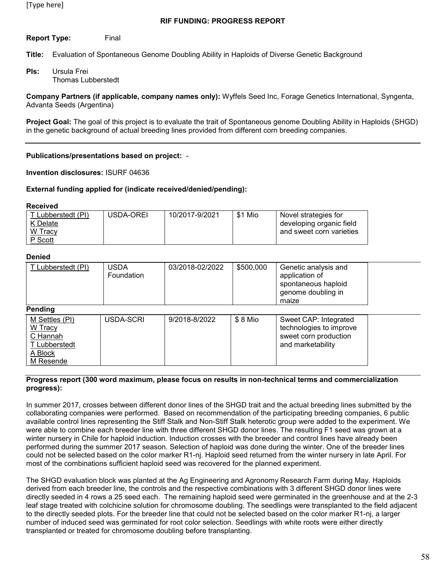## **Report Type:** Final

**Title:** Evaluation of Spontaneous Genome Doubling Ability in Haploids of Diverse Genetic Background

**PIs:** Ursula Frei Thomas Lubberstedt

**Company Partners (if applicable, company names only):** Wyffels Seed Inc, Forage Genetics International, Syngenta, Advanta Seeds (Argentina)

**Project Goal:** The goal of this project is to evaluate the trait of Spontaneous genome Doubling Ability in Haploids (SHGD) in the genetic background of actual breeding lines provided from different corn breeding companies.

### **Publications/presentations based on project:** -

**Invention disclosures:** ISURF 04636

#### **External funding applied for (indicate received/denied/pending):**

#### **Received**

| T Lubberstedt (PI) | USDA-OREI | 10/2017-9/2021 | \$1 Mio | Novel strategies for     |
|--------------------|-----------|----------------|---------|--------------------------|
| K Delate           |           |                |         | developing organic field |
| W Tracy            |           |                |         | and sweet corn varieties |
| P Scott            |           |                |         |                          |

#### **Denied**

| T Lubberstedt (PI)                                                             | <b>USDA</b><br>Foundation | 03/2018-02/2022 | \$500,000 | Genetic analysis and<br>application of<br>spontaneous haploid<br>genome doubling in<br>maize   |  |
|--------------------------------------------------------------------------------|---------------------------|-----------------|-----------|------------------------------------------------------------------------------------------------|--|
| Pending                                                                        |                           |                 |           |                                                                                                |  |
| M Settles (PI)<br>W Tracy<br>C Hannah<br>T Lubberstedt<br>A Block<br>M Resende | USDA-SCRI                 | 9/2018-8/2022   | $$8$ Mio  | Sweet CAP: Integrated<br>technologies to improve<br>sweet corn production<br>and marketability |  |

#### **Progress report (300 word maximum, please focus on results in non-technical terms and commercialization progress):**

In summer 2017, crosses between different donor lines of the SHGD trait and the actual breeding lines submitted by the collaborating companies were performed. Based on recommendation of the participating breeding companies, 6 public available control lines representing the Stiff Stalk and Non-Stiff Stalk heterotic group were added to the experiment. We were able to combine each breeder line with three different SHGD donor lines. The resulting F1 seed was grown at a winter nursery in Chile for haploid induction. Induction crosses with the breeder and control lines have already been performed during the summer 2017 season. Selection of haploid was done during the winter. One of the breeder lines could not be selected based on the color marker R1-nj. Haploid seed returned from the winter nursery in late April. For most of the combinations sufficient haploid seed was recovered for the planned experiment.

The SHGD evaluation block was planted at the Ag Engineering and Agronomy Research Farm during May. Haploids derived from each breeder line, the controls and the respective combinations with 3 different SHGD donor lines were directly seeded in 4 rows a 25 seed each. The remaining haploid seed were germinated in the greenhouse and at the 2-3 leaf stage treated with colchicine solution for chromosome doubling. The seedlings were transplanted to the field adjacent to the directly seeded plots. For the breeder line that could not be selected based on the color marker R1-nj, a larger number of induced seed was germinated for root color selection. Seedlings with white roots were either directly transplanted or treated for chromosome doubling before transplanting.